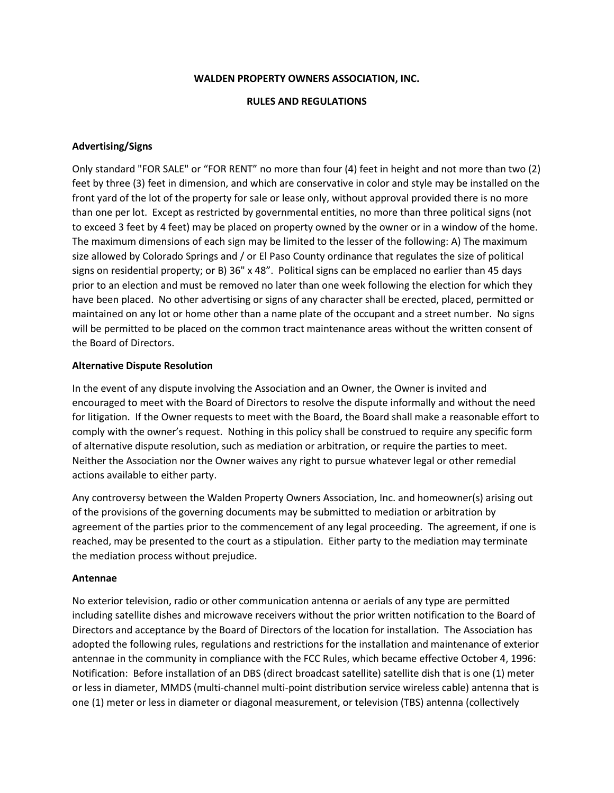#### **RULES AND REGULATIONS**

#### **Advertising/Signs**

Only standard "FOR SALE" or "FOR RENT" no more than four (4) feet in height and not more than two (2) feet by three (3) feet in dimension, and which are conservative in color and style may be installed on the front yard of the lot of the property for sale or lease only, without approval provided there is no more than one per lot. Except as restricted by governmental entities, no more than three political signs (not to exceed 3 feet by 4 feet) may be placed on property owned by the owner or in a window of the home. The maximum dimensions of each sign may be limited to the lesser of the following: A) The maximum size allowed by Colorado Springs and / or El Paso County ordinance that regulates the size of political signs on residential property; or B) 36" x 48". Political signs can be emplaced no earlier than 45 days prior to an election and must be removed no later than one week following the election for which they have been placed. No other advertising or signs of any character shall be erected, placed, permitted or maintained on any lot or home other than a name plate of the occupant and a street number. No signs will be permitted to be placed on the common tract maintenance areas without the written consent of the Board of Directors.

#### **Alternative Dispute Resolution**

In the event of any dispute involving the Association and an Owner, the Owner is invited and encouraged to meet with the Board of Directors to resolve the dispute informally and without the need for litigation. If the Owner requests to meet with the Board, the Board shall make a reasonable effort to comply with the owner's request. Nothing in this policy shall be construed to require any specific form of alternative dispute resolution, such as mediation or arbitration, or require the parties to meet. Neither the Association nor the Owner waives any right to pursue whatever legal or other remedial actions available to either party.

Any controversy between the Walden Property Owners Association, Inc. and homeowner(s) arising out of the provisions of the governing documents may be submitted to mediation or arbitration by agreement of the parties prior to the commencement of any legal proceeding. The agreement, if one is reached, may be presented to the court as a stipulation. Either party to the mediation may terminate the mediation process without prejudice.

#### **Antennae**

No exterior television, radio or other communication antenna or aerials of any type are permitted including satellite dishes and microwave receivers without the prior written notification to the Board of Directors and acceptance by the Board of Directors of the location for installation. The Association has adopted the following rules, regulations and restrictions for the installation and maintenance of exterior antennae in the community in compliance with the FCC Rules, which became effective October 4, 1996: Notification: Before installation of an DBS (direct broadcast satellite) satellite dish that is one (1) meter or less in diameter, MMDS (multi-channel multi-point distribution service wireless cable) antenna that is one (1) meter or less in diameter or diagonal measurement, or television (TBS) antenna (collectively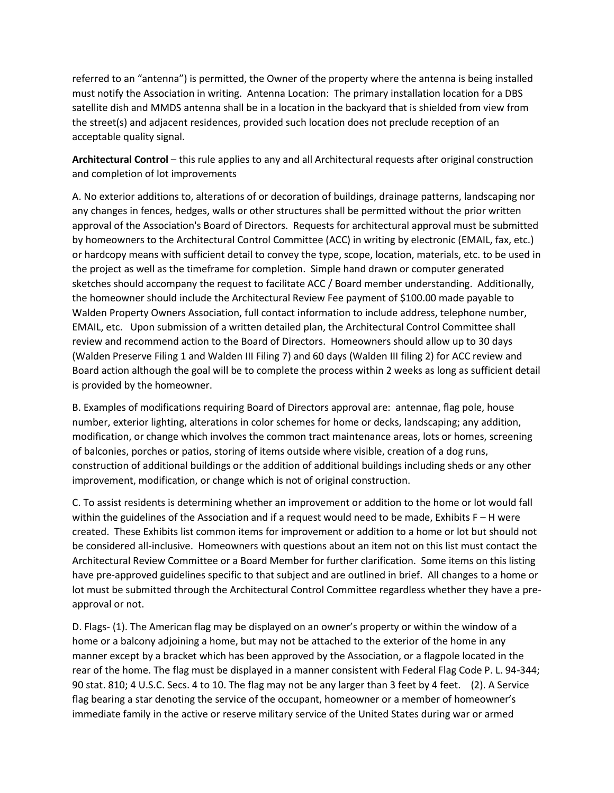referred to an "antenna") is permitted, the Owner of the property where the antenna is being installed must notify the Association in writing. Antenna Location: The primary installation location for a DBS satellite dish and MMDS antenna shall be in a location in the backyard that is shielded from view from the street(s) and adjacent residences, provided such location does not preclude reception of an acceptable quality signal.

**Architectural Control** – this rule applies to any and all Architectural requests after original construction and completion of lot improvements

A. No exterior additions to, alterations of or decoration of buildings, drainage patterns, landscaping nor any changes in fences, hedges, walls or other structures shall be permitted without the prior written approval of the Association's Board of Directors. Requests for architectural approval must be submitted by homeowners to the Architectural Control Committee (ACC) in writing by electronic (EMAIL, fax, etc.) or hardcopy means with sufficient detail to convey the type, scope, location, materials, etc. to be used in the project as well as the timeframe for completion. Simple hand drawn or computer generated sketches should accompany the request to facilitate ACC / Board member understanding. Additionally, the homeowner should include the Architectural Review Fee payment of \$100.00 made payable to Walden Property Owners Association, full contact information to include address, telephone number, EMAIL, etc. Upon submission of a written detailed plan, the Architectural Control Committee shall review and recommend action to the Board of Directors. Homeowners should allow up to 30 days (Walden Preserve Filing 1 and Walden III Filing 7) and 60 days (Walden III filing 2) for ACC review and Board action although the goal will be to complete the process within 2 weeks as long as sufficient detail is provided by the homeowner.

B. Examples of modifications requiring Board of Directors approval are: antennae, flag pole, house number, exterior lighting, alterations in color schemes for home or decks, landscaping; any addition, modification, or change which involves the common tract maintenance areas, lots or homes, screening of balconies, porches or patios, storing of items outside where visible, creation of a dog runs, construction of additional buildings or the addition of additional buildings including sheds or any other improvement, modification, or change which is not of original construction.

C. To assist residents is determining whether an improvement or addition to the home or lot would fall within the guidelines of the Association and if a request would need to be made, Exhibits F – H were created. These Exhibits list common items for improvement or addition to a home or lot but should not be considered all-inclusive. Homeowners with questions about an item not on this list must contact the Architectural Review Committee or a Board Member for further clarification. Some items on this listing have pre-approved guidelines specific to that subject and are outlined in brief. All changes to a home or lot must be submitted through the Architectural Control Committee regardless whether they have a preapproval or not.

D. Flags- (1). The American flag may be displayed on an owner's property or within the window of a home or a balcony adjoining a home, but may not be attached to the exterior of the home in any manner except by a bracket which has been approved by the Association, or a flagpole located in the rear of the home. The flag must be displayed in a manner consistent with Federal Flag Code P. L. 94-344; 90 stat. 810; 4 U.S.C. Secs. 4 to 10. The flag may not be any larger than 3 feet by 4 feet. (2). A Service flag bearing a star denoting the service of the occupant, homeowner or a member of homeowner's immediate family in the active or reserve military service of the United States during war or armed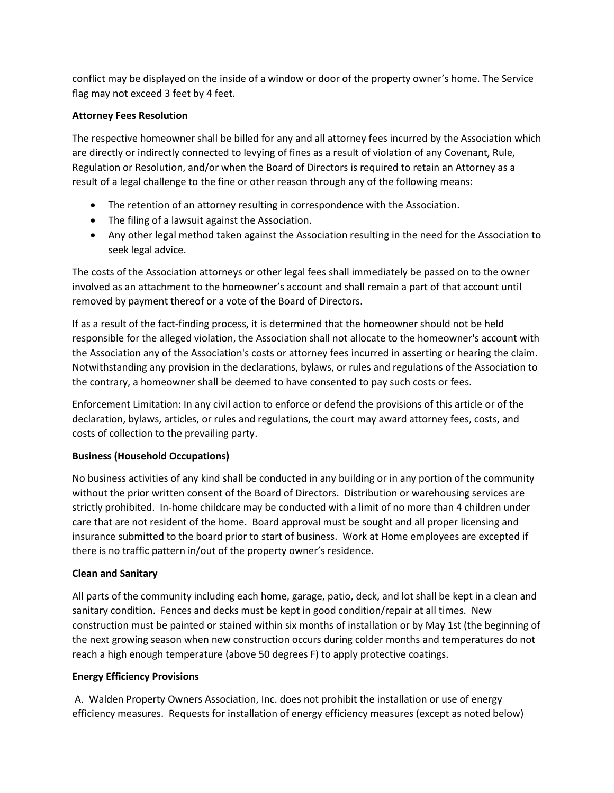conflict may be displayed on the inside of a window or door of the property owner's home. The Service flag may not exceed 3 feet by 4 feet.

# **Attorney Fees Resolution**

The respective homeowner shall be billed for any and all attorney fees incurred by the Association which are directly or indirectly connected to levying of fines as a result of violation of any Covenant, Rule, Regulation or Resolution, and/or when the Board of Directors is required to retain an Attorney as a result of a legal challenge to the fine or other reason through any of the following means:

- The retention of an attorney resulting in correspondence with the Association.
- The filing of a lawsuit against the Association.
- Any other legal method taken against the Association resulting in the need for the Association to seek legal advice.

The costs of the Association attorneys or other legal fees shall immediately be passed on to the owner involved as an attachment to the homeowner's account and shall remain a part of that account until removed by payment thereof or a vote of the Board of Directors.

If as a result of the fact-finding process, it is determined that the homeowner should not be held responsible for the alleged violation, the Association shall not allocate to the homeowner's account with the Association any of the Association's costs or attorney fees incurred in asserting or hearing the claim. Notwithstanding any provision in the declarations, bylaws, or rules and regulations of the Association to the contrary, a homeowner shall be deemed to have consented to pay such costs or fees.

Enforcement Limitation: In any civil action to enforce or defend the provisions of this article or of the declaration, bylaws, articles, or rules and regulations, the court may award attorney fees, costs, and costs of collection to the prevailing party.

# **Business (Household Occupations)**

No business activities of any kind shall be conducted in any building or in any portion of the community without the prior written consent of the Board of Directors. Distribution or warehousing services are strictly prohibited. In-home childcare may be conducted with a limit of no more than 4 children under care that are not resident of the home. Board approval must be sought and all proper licensing and insurance submitted to the board prior to start of business. Work at Home employees are excepted if there is no traffic pattern in/out of the property owner's residence.

### **Clean and Sanitary**

All parts of the community including each home, garage, patio, deck, and lot shall be kept in a clean and sanitary condition. Fences and decks must be kept in good condition/repair at all times. New construction must be painted or stained within six months of installation or by May 1st (the beginning of the next growing season when new construction occurs during colder months and temperatures do not reach a high enough temperature (above 50 degrees F) to apply protective coatings.

### **Energy Efficiency Provisions**

A. Walden Property Owners Association, Inc. does not prohibit the installation or use of energy efficiency measures. Requests for installation of energy efficiency measures (except as noted below)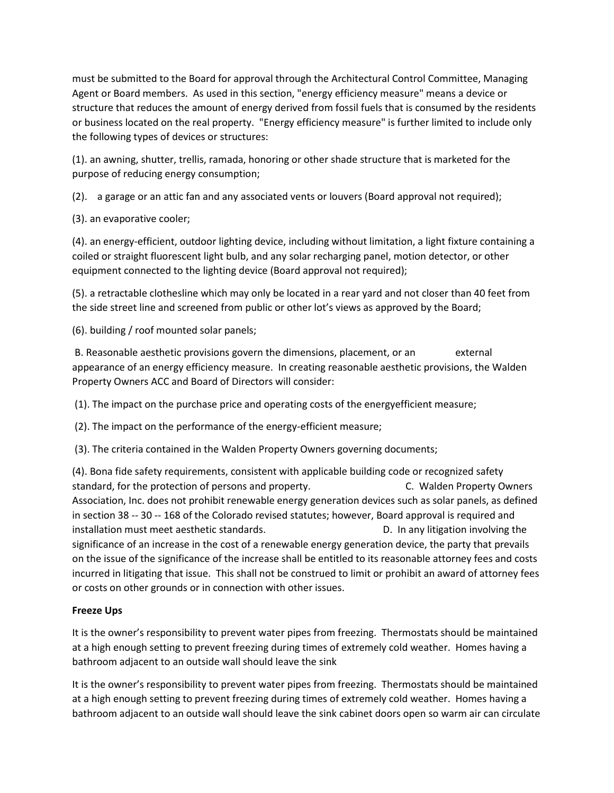must be submitted to the Board for approval through the Architectural Control Committee, Managing Agent or Board members. As used in this section, "energy efficiency measure" means a device or structure that reduces the amount of energy derived from fossil fuels that is consumed by the residents or business located on the real property. "Energy efficiency measure" is further limited to include only the following types of devices or structures:

(1). an awning, shutter, trellis, ramada, honoring or other shade structure that is marketed for the purpose of reducing energy consumption;

(2). a garage or an attic fan and any associated vents or louvers (Board approval not required);

(3). an evaporative cooler;

(4). an energy-efficient, outdoor lighting device, including without limitation, a light fixture containing a coiled or straight fluorescent light bulb, and any solar recharging panel, motion detector, or other equipment connected to the lighting device (Board approval not required);

(5). a retractable clothesline which may only be located in a rear yard and not closer than 40 feet from the side street line and screened from public or other lot's views as approved by the Board;

(6). building / roof mounted solar panels;

B. Reasonable aesthetic provisions govern the dimensions, placement, or an external appearance of an energy efficiency measure. In creating reasonable aesthetic provisions, the Walden Property Owners ACC and Board of Directors will consider:

(1). The impact on the purchase price and operating costs of the energyefficient measure;

(2). The impact on the performance of the energy-efficient measure;

(3). The criteria contained in the Walden Property Owners governing documents;

(4). Bona fide safety requirements, consistent with applicable building code or recognized safety standard, for the protection of persons and property. C. Walden Property Owners Association, Inc. does not prohibit renewable energy generation devices such as solar panels, as defined in section 38 -- 30 -- 168 of the Colorado revised statutes; however, Board approval is required and installation must meet aesthetic standards. The manner of the standards of the standards of the standards. significance of an increase in the cost of a renewable energy generation device, the party that prevails on the issue of the significance of the increase shall be entitled to its reasonable attorney fees and costs incurred in litigating that issue. This shall not be construed to limit or prohibit an award of attorney fees or costs on other grounds or in connection with other issues.

# **Freeze Ups**

It is the owner's responsibility to prevent water pipes from freezing. Thermostats should be maintained at a high enough setting to prevent freezing during times of extremely cold weather. Homes having a bathroom adjacent to an outside wall should leave the sink

It is the owner's responsibility to prevent water pipes from freezing. Thermostats should be maintained at a high enough setting to prevent freezing during times of extremely cold weather. Homes having a bathroom adjacent to an outside wall should leave the sink cabinet doors open so warm air can circulate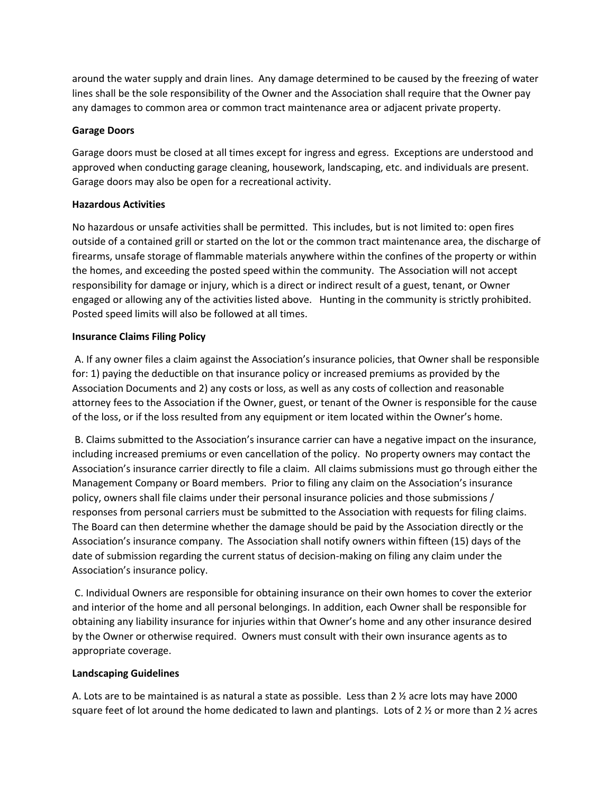around the water supply and drain lines. Any damage determined to be caused by the freezing of water lines shall be the sole responsibility of the Owner and the Association shall require that the Owner pay any damages to common area or common tract maintenance area or adjacent private property.

### **Garage Doors**

Garage doors must be closed at all times except for ingress and egress. Exceptions are understood and approved when conducting garage cleaning, housework, landscaping, etc. and individuals are present. Garage doors may also be open for a recreational activity.

# **Hazardous Activities**

No hazardous or unsafe activities shall be permitted. This includes, but is not limited to: open fires outside of a contained grill or started on the lot or the common tract maintenance area, the discharge of firearms, unsafe storage of flammable materials anywhere within the confines of the property or within the homes, and exceeding the posted speed within the community. The Association will not accept responsibility for damage or injury, which is a direct or indirect result of a guest, tenant, or Owner engaged or allowing any of the activities listed above. Hunting in the community is strictly prohibited. Posted speed limits will also be followed at all times.

# **Insurance Claims Filing Policy**

A. If any owner files a claim against the Association's insurance policies, that Owner shall be responsible for: 1) paying the deductible on that insurance policy or increased premiums as provided by the Association Documents and 2) any costs or loss, as well as any costs of collection and reasonable attorney fees to the Association if the Owner, guest, or tenant of the Owner is responsible for the cause of the loss, or if the loss resulted from any equipment or item located within the Owner's home.

B. Claims submitted to the Association's insurance carrier can have a negative impact on the insurance, including increased premiums or even cancellation of the policy. No property owners may contact the Association's insurance carrier directly to file a claim. All claims submissions must go through either the Management Company or Board members. Prior to filing any claim on the Association's insurance policy, owners shall file claims under their personal insurance policies and those submissions / responses from personal carriers must be submitted to the Association with requests for filing claims. The Board can then determine whether the damage should be paid by the Association directly or the Association's insurance company. The Association shall notify owners within fifteen (15) days of the date of submission regarding the current status of decision-making on filing any claim under the Association's insurance policy.

C. Individual Owners are responsible for obtaining insurance on their own homes to cover the exterior and interior of the home and all personal belongings. In addition, each Owner shall be responsible for obtaining any liability insurance for injuries within that Owner's home and any other insurance desired by the Owner or otherwise required. Owners must consult with their own insurance agents as to appropriate coverage.

### **Landscaping Guidelines**

A. Lots are to be maintained is as natural a state as possible. Less than 2  $\frac{1}{2}$  acre lots may have 2000 square feet of lot around the home dedicated to lawn and plantings. Lots of 2  $\frac{1}{2}$  or more than 2  $\frac{1}{2}$  acres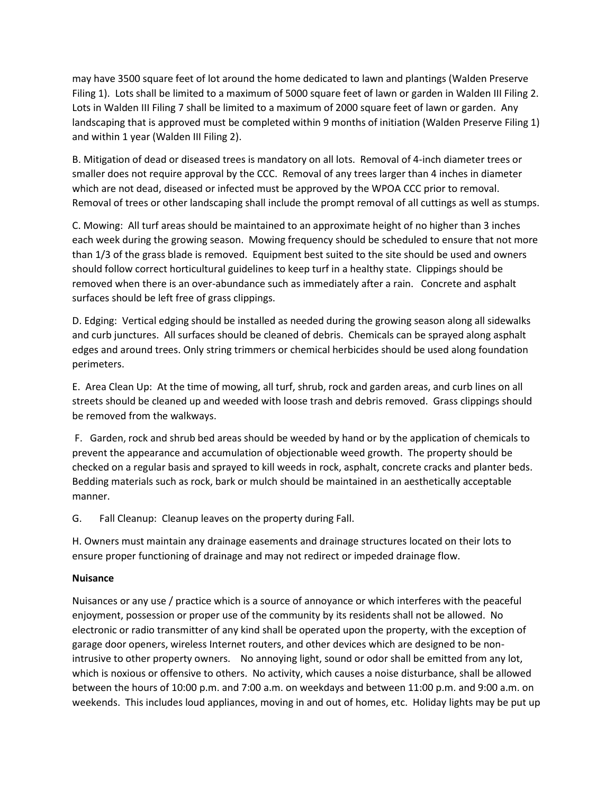may have 3500 square feet of lot around the home dedicated to lawn and plantings (Walden Preserve Filing 1). Lots shall be limited to a maximum of 5000 square feet of lawn or garden in Walden III Filing 2. Lots in Walden III Filing 7 shall be limited to a maximum of 2000 square feet of lawn or garden. Any landscaping that is approved must be completed within 9 months of initiation (Walden Preserve Filing 1) and within 1 year (Walden III Filing 2).

B. Mitigation of dead or diseased trees is mandatory on all lots. Removal of 4-inch diameter trees or smaller does not require approval by the CCC. Removal of any trees larger than 4 inches in diameter which are not dead, diseased or infected must be approved by the WPOA CCC prior to removal. Removal of trees or other landscaping shall include the prompt removal of all cuttings as well as stumps.

C. Mowing: All turf areas should be maintained to an approximate height of no higher than 3 inches each week during the growing season. Mowing frequency should be scheduled to ensure that not more than 1/3 of the grass blade is removed. Equipment best suited to the site should be used and owners should follow correct horticultural guidelines to keep turf in a healthy state. Clippings should be removed when there is an over-abundance such as immediately after a rain. Concrete and asphalt surfaces should be left free of grass clippings.

D. Edging: Vertical edging should be installed as needed during the growing season along all sidewalks and curb junctures. All surfaces should be cleaned of debris. Chemicals can be sprayed along asphalt edges and around trees. Only string trimmers or chemical herbicides should be used along foundation perimeters.

E. Area Clean Up: At the time of mowing, all turf, shrub, rock and garden areas, and curb lines on all streets should be cleaned up and weeded with loose trash and debris removed. Grass clippings should be removed from the walkways.

F. Garden, rock and shrub bed areas should be weeded by hand or by the application of chemicals to prevent the appearance and accumulation of objectionable weed growth. The property should be checked on a regular basis and sprayed to kill weeds in rock, asphalt, concrete cracks and planter beds. Bedding materials such as rock, bark or mulch should be maintained in an aesthetically acceptable manner.

G. Fall Cleanup: Cleanup leaves on the property during Fall.

H. Owners must maintain any drainage easements and drainage structures located on their lots to ensure proper functioning of drainage and may not redirect or impeded drainage flow.

### **Nuisance**

Nuisances or any use / practice which is a source of annoyance or which interferes with the peaceful enjoyment, possession or proper use of the community by its residents shall not be allowed. No electronic or radio transmitter of any kind shall be operated upon the property, with the exception of garage door openers, wireless Internet routers, and other devices which are designed to be nonintrusive to other property owners. No annoying light, sound or odor shall be emitted from any lot, which is noxious or offensive to others. No activity, which causes a noise disturbance, shall be allowed between the hours of 10:00 p.m. and 7:00 a.m. on weekdays and between 11:00 p.m. and 9:00 a.m. on weekends. This includes loud appliances, moving in and out of homes, etc. Holiday lights may be put up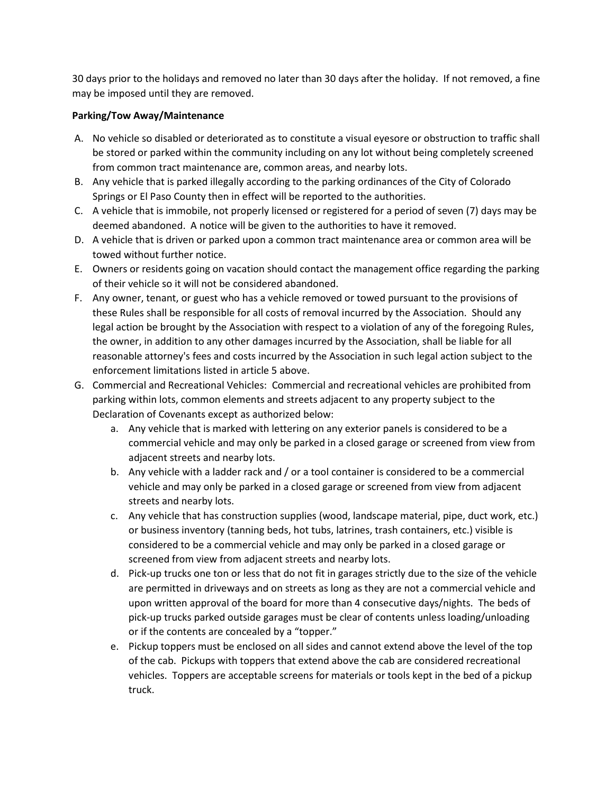30 days prior to the holidays and removed no later than 30 days after the holiday. If not removed, a fine may be imposed until they are removed.

# **Parking/Tow Away/Maintenance**

- A. No vehicle so disabled or deteriorated as to constitute a visual eyesore or obstruction to traffic shall be stored or parked within the community including on any lot without being completely screened from common tract maintenance are, common areas, and nearby lots.
- B. Any vehicle that is parked illegally according to the parking ordinances of the City of Colorado Springs or El Paso County then in effect will be reported to the authorities.
- C. A vehicle that is immobile, not properly licensed or registered for a period of seven (7) days may be deemed abandoned. A notice will be given to the authorities to have it removed.
- D. A vehicle that is driven or parked upon a common tract maintenance area or common area will be towed without further notice.
- E. Owners or residents going on vacation should contact the management office regarding the parking of their vehicle so it will not be considered abandoned.
- F. Any owner, tenant, or guest who has a vehicle removed or towed pursuant to the provisions of these Rules shall be responsible for all costs of removal incurred by the Association. Should any legal action be brought by the Association with respect to a violation of any of the foregoing Rules, the owner, in addition to any other damages incurred by the Association, shall be liable for all reasonable attorney's fees and costs incurred by the Association in such legal action subject to the enforcement limitations listed in article 5 above.
- G. Commercial and Recreational Vehicles: Commercial and recreational vehicles are prohibited from parking within lots, common elements and streets adjacent to any property subject to the Declaration of Covenants except as authorized below:
	- a. Any vehicle that is marked with lettering on any exterior panels is considered to be a commercial vehicle and may only be parked in a closed garage or screened from view from adjacent streets and nearby lots.
	- b. Any vehicle with a ladder rack and / or a tool container is considered to be a commercial vehicle and may only be parked in a closed garage or screened from view from adjacent streets and nearby lots.
	- c. Any vehicle that has construction supplies (wood, landscape material, pipe, duct work, etc.) or business inventory (tanning beds, hot tubs, latrines, trash containers, etc.) visible is considered to be a commercial vehicle and may only be parked in a closed garage or screened from view from adjacent streets and nearby lots.
	- d. Pick-up trucks one ton or less that do not fit in garages strictly due to the size of the vehicle are permitted in driveways and on streets as long as they are not a commercial vehicle and upon written approval of the board for more than 4 consecutive days/nights. The beds of pick-up trucks parked outside garages must be clear of contents unless loading/unloading or if the contents are concealed by a "topper."
	- e. Pickup toppers must be enclosed on all sides and cannot extend above the level of the top of the cab. Pickups with toppers that extend above the cab are considered recreational vehicles. Toppers are acceptable screens for materials or tools kept in the bed of a pickup truck.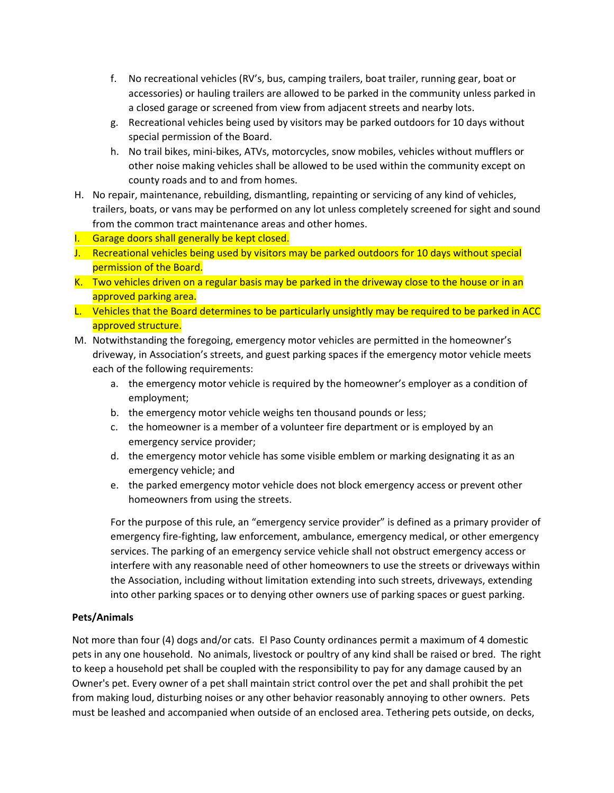- f. No recreational vehicles (RV's, bus, camping trailers, boat trailer, running gear, boat or accessories) or hauling trailers are allowed to be parked in the community unless parked in a closed garage or screened from view from adjacent streets and nearby lots.
- g. Recreational vehicles being used by visitors may be parked outdoors for 10 days without special permission of the Board.
- h. No trail bikes, mini-bikes, ATVs, motorcycles, snow mobiles, vehicles without mufflers or other noise making vehicles shall be allowed to be used within the community except on county roads and to and from homes.
- H. No repair, maintenance, rebuilding, dismantling, repainting or servicing of any kind of vehicles, trailers, boats, or vans may be performed on any lot unless completely screened for sight and sound from the common tract maintenance areas and other homes.
- I. Garage doors shall generally be kept closed.
- J. Recreational vehicles being used by visitors may be parked outdoors for 10 days without special permission of the Board.
- K. Two vehicles driven on a regular basis may be parked in the driveway close to the house or in an approved parking area.
- L. Vehicles that the Board determines to be particularly unsightly may be required to be parked in ACC approved structure.
- M. Notwithstanding the foregoing, emergency motor vehicles are permitted in the homeowner's driveway, in Association's streets, and guest parking spaces if the emergency motor vehicle meets each of the following requirements:
	- a. the emergency motor vehicle is required by the homeowner's employer as a condition of employment;
	- b. the emergency motor vehicle weighs ten thousand pounds or less;
	- c. the homeowner is a member of a volunteer fire department or is employed by an emergency service provider;
	- d. the emergency motor vehicle has some visible emblem or marking designating it as an emergency vehicle; and
	- e. the parked emergency motor vehicle does not block emergency access or prevent other homeowners from using the streets.

For the purpose of this rule, an "emergency service provider" is defined as a primary provider of emergency fire-fighting, law enforcement, ambulance, emergency medical, or other emergency services. The parking of an emergency service vehicle shall not obstruct emergency access or interfere with any reasonable need of other homeowners to use the streets or driveways within the Association, including without limitation extending into such streets, driveways, extending into other parking spaces or to denying other owners use of parking spaces or guest parking.

# **Pets/Animals**

Not more than four (4) dogs and/or cats. El Paso County ordinances permit a maximum of 4 domestic pets in any one household. No animals, livestock or poultry of any kind shall be raised or bred. The right to keep a household pet shall be coupled with the responsibility to pay for any damage caused by an Owner's pet. Every owner of a pet shall maintain strict control over the pet and shall prohibit the pet from making loud, disturbing noises or any other behavior reasonably annoying to other owners. Pets must be leashed and accompanied when outside of an enclosed area. Tethering pets outside, on decks,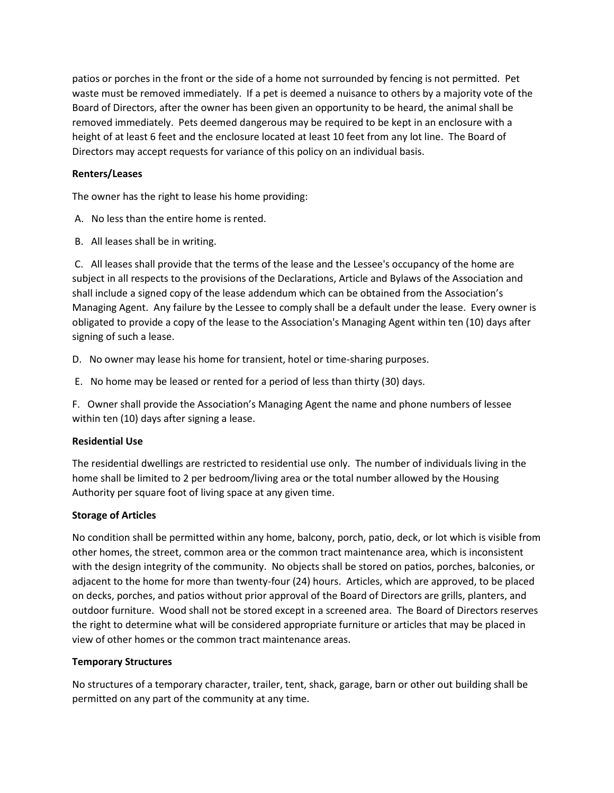patios or porches in the front or the side of a home not surrounded by fencing is not permitted. Pet waste must be removed immediately. If a pet is deemed a nuisance to others by a majority vote of the Board of Directors, after the owner has been given an opportunity to be heard, the animal shall be removed immediately. Pets deemed dangerous may be required to be kept in an enclosure with a height of at least 6 feet and the enclosure located at least 10 feet from any lot line. The Board of Directors may accept requests for variance of this policy on an individual basis.

# **Renters/Leases**

The owner has the right to lease his home providing:

- A. No less than the entire home is rented.
- B. All leases shall be in writing.

C. All leases shall provide that the terms of the lease and the Lessee's occupancy of the home are subject in all respects to the provisions of the Declarations, Article and Bylaws of the Association and shall include a signed copy of the lease addendum which can be obtained from the Association's Managing Agent. Any failure by the Lessee to comply shall be a default under the lease. Every owner is obligated to provide a copy of the lease to the Association's Managing Agent within ten (10) days after signing of such a lease.

D. No owner may lease his home for transient, hotel or time-sharing purposes.

E. No home may be leased or rented for a period of less than thirty (30) days.

F. Owner shall provide the Association's Managing Agent the name and phone numbers of lessee within ten (10) days after signing a lease.

### **Residential Use**

The residential dwellings are restricted to residential use only. The number of individuals living in the home shall be limited to 2 per bedroom/living area or the total number allowed by the Housing Authority per square foot of living space at any given time.

### **Storage of Articles**

No condition shall be permitted within any home, balcony, porch, patio, deck, or lot which is visible from other homes, the street, common area or the common tract maintenance area, which is inconsistent with the design integrity of the community. No objects shall be stored on patios, porches, balconies, or adjacent to the home for more than twenty-four (24) hours. Articles, which are approved, to be placed on decks, porches, and patios without prior approval of the Board of Directors are grills, planters, and outdoor furniture. Wood shall not be stored except in a screened area. The Board of Directors reserves the right to determine what will be considered appropriate furniture or articles that may be placed in view of other homes or the common tract maintenance areas.

### **Temporary Structures**

No structures of a temporary character, trailer, tent, shack, garage, barn or other out building shall be permitted on any part of the community at any time.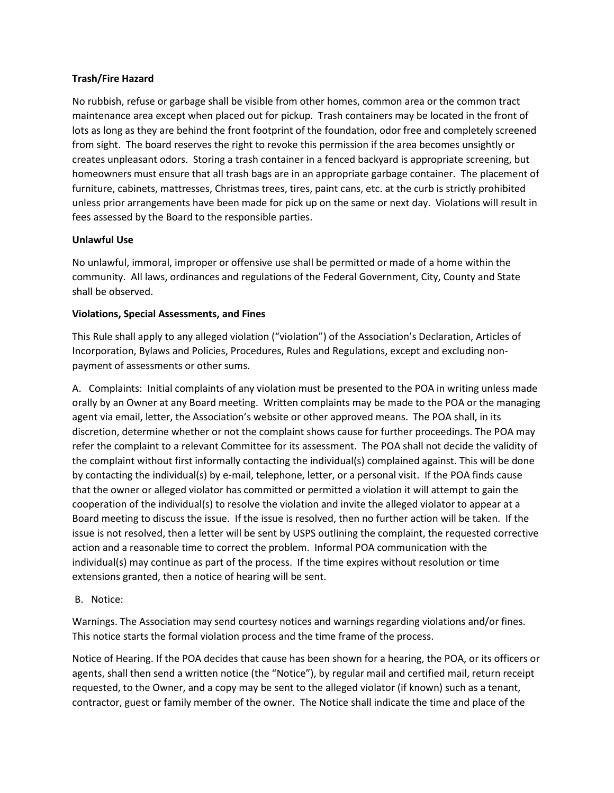# **Trash/Fire Hazard**

No rubbish, refuse or garbage shall be visible from other homes, common area or the common tract maintenance area except when placed out for pickup. Trash containers may be located in the front of lots as long as they are behind the front footprint of the foundation, odor free and completely screened from sight. The board reserves the right to revoke this permission if the area becomes unsightly or creates unpleasant odors. Storing a trash container in a fenced backyard is appropriate screening, but homeowners must ensure that all trash bags are in an appropriate garbage container. The placement of furniture, cabinets, mattresses, Christmas trees, tires, paint cans, etc. at the curb is strictly prohibited unless prior arrangements have been made for pick up on the same or next day. Violations will result in fees assessed by the Board to the responsible parties.

# **Unlawful Use**

No unlawful, immoral, improper or offensive use shall be permitted or made of a home within the community. All laws, ordinances and regulations of the Federal Government, City, County and State shall be observed.

# **Violations, Special Assessments, and Fines**

This Rule shall apply to any alleged violation ("violation") of the Association's Declaration, Articles of Incorporation, Bylaws and Policies, Procedures, Rules and Regulations, except and excluding nonpayment of assessments or other sums.

A. Complaints: Initial complaints of any violation must be presented to the POA in writing unless made orally by an Owner at any Board meeting. Written complaints may be made to the POA or the managing agent via email, letter, the Association's website or other approved means. The POA shall, in its discretion, determine whether or not the complaint shows cause for further proceedings. The POA may refer the complaint to a relevant Committee for its assessment. The POA shall not decide the validity of the complaint without first informally contacting the individual(s) complained against. This will be done by contacting the individual(s) by e-mail, telephone, letter, or a personal visit. If the POA finds cause that the owner or alleged violator has committed or permitted a violation it will attempt to gain the cooperation of the individual(s) to resolve the violation and invite the alleged violator to appear at a Board meeting to discuss the issue. If the issue is resolved, then no further action will be taken. If the issue is not resolved, then a letter will be sent by USPS outlining the complaint, the requested corrective action and a reasonable time to correct the problem. Informal POA communication with the individual(s) may continue as part of the process. If the time expires without resolution or time extensions granted, then a notice of hearing will be sent.

### B. Notice:

Warnings. The Association may send courtesy notices and warnings regarding violations and/or fines. This notice starts the formal violation process and the time frame of the process.

Notice of Hearing. If the POA decides that cause has been shown for a hearing, the POA, or its officers or agents, shall then send a written notice (the "Notice"), by regular mail and certified mail, return receipt requested, to the Owner, and a copy may be sent to the alleged violator (if known) such as a tenant, contractor, guest or family member of the owner. The Notice shall indicate the time and place of the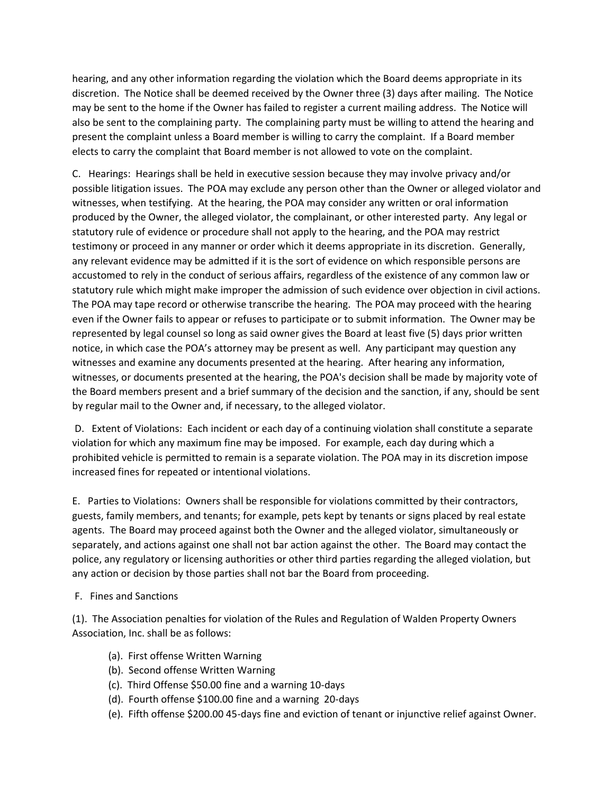hearing, and any other information regarding the violation which the Board deems appropriate in its discretion. The Notice shall be deemed received by the Owner three (3) days after mailing. The Notice may be sent to the home if the Owner has failed to register a current mailing address. The Notice will also be sent to the complaining party. The complaining party must be willing to attend the hearing and present the complaint unless a Board member is willing to carry the complaint. If a Board member elects to carry the complaint that Board member is not allowed to vote on the complaint.

C. Hearings: Hearings shall be held in executive session because they may involve privacy and/or possible litigation issues. The POA may exclude any person other than the Owner or alleged violator and witnesses, when testifying. At the hearing, the POA may consider any written or oral information produced by the Owner, the alleged violator, the complainant, or other interested party. Any legal or statutory rule of evidence or procedure shall not apply to the hearing, and the POA may restrict testimony or proceed in any manner or order which it deems appropriate in its discretion. Generally, any relevant evidence may be admitted if it is the sort of evidence on which responsible persons are accustomed to rely in the conduct of serious affairs, regardless of the existence of any common law or statutory rule which might make improper the admission of such evidence over objection in civil actions. The POA may tape record or otherwise transcribe the hearing. The POA may proceed with the hearing even if the Owner fails to appear or refuses to participate or to submit information. The Owner may be represented by legal counsel so long as said owner gives the Board at least five (5) days prior written notice, in which case the POA's attorney may be present as well. Any participant may question any witnesses and examine any documents presented at the hearing. After hearing any information, witnesses, or documents presented at the hearing, the POA's decision shall be made by majority vote of the Board members present and a brief summary of the decision and the sanction, if any, should be sent by regular mail to the Owner and, if necessary, to the alleged violator.

D. Extent of Violations: Each incident or each day of a continuing violation shall constitute a separate violation for which any maximum fine may be imposed. For example, each day during which a prohibited vehicle is permitted to remain is a separate violation. The POA may in its discretion impose increased fines for repeated or intentional violations.

E. Parties to Violations: Owners shall be responsible for violations committed by their contractors, guests, family members, and tenants; for example, pets kept by tenants or signs placed by real estate agents. The Board may proceed against both the Owner and the alleged violator, simultaneously or separately, and actions against one shall not bar action against the other. The Board may contact the police, any regulatory or licensing authorities or other third parties regarding the alleged violation, but any action or decision by those parties shall not bar the Board from proceeding.

### F. Fines and Sanctions

(1). The Association penalties for violation of the Rules and Regulation of Walden Property Owners Association, Inc. shall be as follows:

- (a). First offense Written Warning
- (b). Second offense Written Warning
- (c). Third Offense \$50.00 fine and a warning 10-days
- (d). Fourth offense \$100.00 fine and a warning 20-days
- (e). Fifth offense \$200.00 45-days fine and eviction of tenant or injunctive relief against Owner.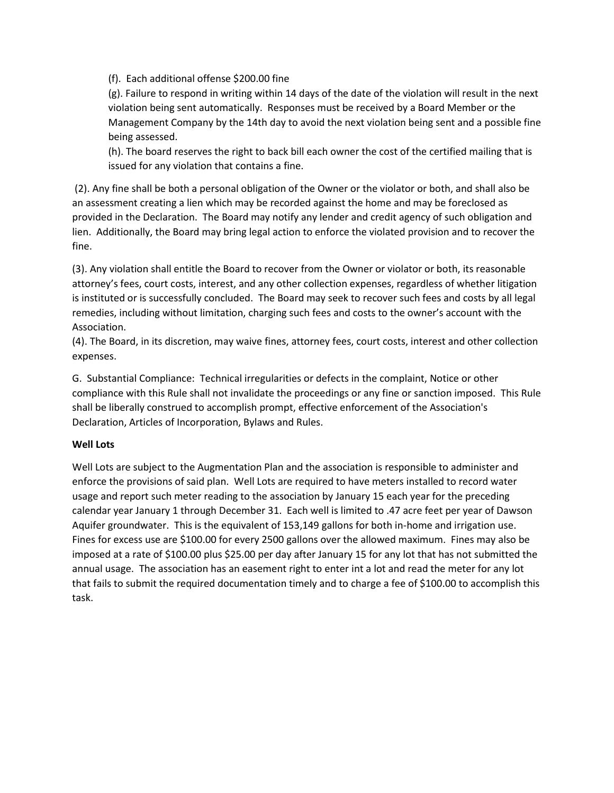(f). Each additional offense \$200.00 fine

(g). Failure to respond in writing within 14 days of the date of the violation will result in the next violation being sent automatically. Responses must be received by a Board Member or the Management Company by the 14th day to avoid the next violation being sent and a possible fine being assessed.

(h). The board reserves the right to back bill each owner the cost of the certified mailing that is issued for any violation that contains a fine.

(2). Any fine shall be both a personal obligation of the Owner or the violator or both, and shall also be an assessment creating a lien which may be recorded against the home and may be foreclosed as provided in the Declaration. The Board may notify any lender and credit agency of such obligation and lien. Additionally, the Board may bring legal action to enforce the violated provision and to recover the fine.

(3). Any violation shall entitle the Board to recover from the Owner or violator or both, its reasonable attorney's fees, court costs, interest, and any other collection expenses, regardless of whether litigation is instituted or is successfully concluded. The Board may seek to recover such fees and costs by all legal remedies, including without limitation, charging such fees and costs to the owner's account with the Association.

(4). The Board, in its discretion, may waive fines, attorney fees, court costs, interest and other collection expenses.

G. Substantial Compliance: Technical irregularities or defects in the complaint, Notice or other compliance with this Rule shall not invalidate the proceedings or any fine or sanction imposed. This Rule shall be liberally construed to accomplish prompt, effective enforcement of the Association's Declaration, Articles of Incorporation, Bylaws and Rules.

# **Well Lots**

Well Lots are subject to the Augmentation Plan and the association is responsible to administer and enforce the provisions of said plan. Well Lots are required to have meters installed to record water usage and report such meter reading to the association by January 15 each year for the preceding calendar year January 1 through December 31. Each well is limited to .47 acre feet per year of Dawson Aquifer groundwater. This is the equivalent of 153,149 gallons for both in-home and irrigation use. Fines for excess use are \$100.00 for every 2500 gallons over the allowed maximum. Fines may also be imposed at a rate of \$100.00 plus \$25.00 per day after January 15 for any lot that has not submitted the annual usage. The association has an easement right to enter int a lot and read the meter for any lot that fails to submit the required documentation timely and to charge a fee of \$100.00 to accomplish this task.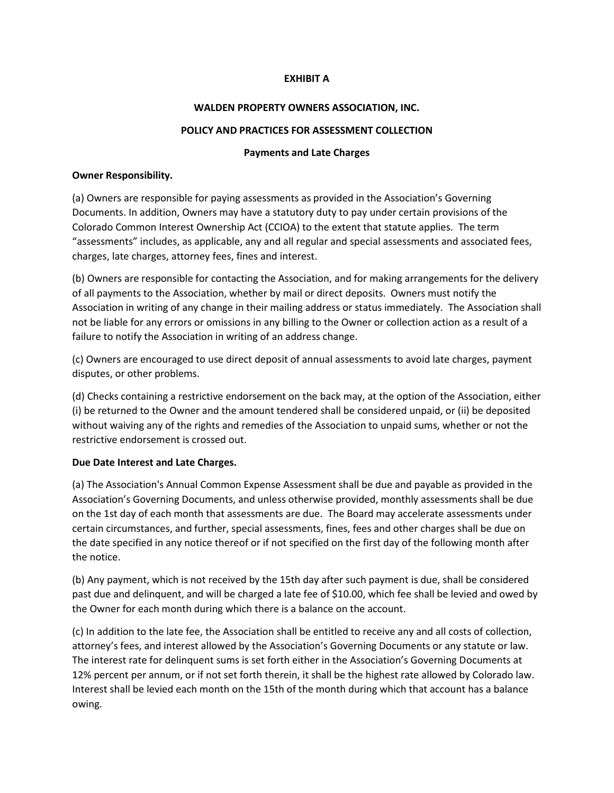### **EXHIBIT A**

### **WALDEN PROPERTY OWNERS ASSOCIATION, INC.**

### **POLICY AND PRACTICES FOR ASSESSMENT COLLECTION**

#### **Payments and Late Charges**

#### **Owner Responsibility.**

(a) Owners are responsible for paying assessments as provided in the Association's Governing Documents. In addition, Owners may have a statutory duty to pay under certain provisions of the Colorado Common Interest Ownership Act (CCIOA) to the extent that statute applies. The term "assessments" includes, as applicable, any and all regular and special assessments and associated fees, charges, late charges, attorney fees, fines and interest.

(b) Owners are responsible for contacting the Association, and for making arrangements for the delivery of all payments to the Association, whether by mail or direct deposits. Owners must notify the Association in writing of any change in their mailing address or status immediately. The Association shall not be liable for any errors or omissions in any billing to the Owner or collection action as a result of a failure to notify the Association in writing of an address change.

(c) Owners are encouraged to use direct deposit of annual assessments to avoid late charges, payment disputes, or other problems.

(d) Checks containing a restrictive endorsement on the back may, at the option of the Association, either (i) be returned to the Owner and the amount tendered shall be considered unpaid, or (ii) be deposited without waiving any of the rights and remedies of the Association to unpaid sums, whether or not the restrictive endorsement is crossed out.

### **Due Date Interest and Late Charges.**

(a) The Association's Annual Common Expense Assessment shall be due and payable as provided in the Association's Governing Documents, and unless otherwise provided, monthly assessments shall be due on the 1st day of each month that assessments are due. The Board may accelerate assessments under certain circumstances, and further, special assessments, fines, fees and other charges shall be due on the date specified in any notice thereof or if not specified on the first day of the following month after the notice.

(b) Any payment, which is not received by the 15th day after such payment is due, shall be considered past due and delinquent, and will be charged a late fee of \$10.00, which fee shall be levied and owed by the Owner for each month during which there is a balance on the account.

(c) In addition to the late fee, the Association shall be entitled to receive any and all costs of collection, attorney's fees, and interest allowed by the Association's Governing Documents or any statute or law. The interest rate for delinquent sums is set forth either in the Association's Governing Documents at 12% percent per annum, or if not set forth therein, it shall be the highest rate allowed by Colorado law. Interest shall be levied each month on the 15th of the month during which that account has a balance owing.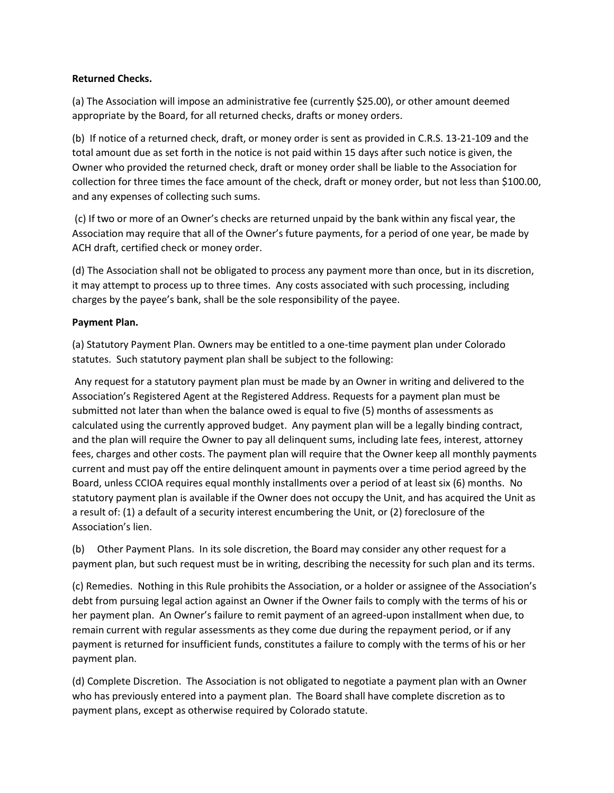# **Returned Checks.**

(a) The Association will impose an administrative fee (currently \$25.00), or other amount deemed appropriate by the Board, for all returned checks, drafts or money orders.

(b) If notice of a returned check, draft, or money order is sent as provided in C.R.S. 13-21-109 and the total amount due as set forth in the notice is not paid within 15 days after such notice is given, the Owner who provided the returned check, draft or money order shall be liable to the Association for collection for three times the face amount of the check, draft or money order, but not less than \$100.00, and any expenses of collecting such sums.

(c) If two or more of an Owner's checks are returned unpaid by the bank within any fiscal year, the Association may require that all of the Owner's future payments, for a period of one year, be made by ACH draft, certified check or money order.

(d) The Association shall not be obligated to process any payment more than once, but in its discretion, it may attempt to process up to three times. Any costs associated with such processing, including charges by the payee's bank, shall be the sole responsibility of the payee.

# **Payment Plan.**

(a) Statutory Payment Plan. Owners may be entitled to a one-time payment plan under Colorado statutes. Such statutory payment plan shall be subject to the following:

Any request for a statutory payment plan must be made by an Owner in writing and delivered to the Association's Registered Agent at the Registered Address. Requests for a payment plan must be submitted not later than when the balance owed is equal to five (5) months of assessments as calculated using the currently approved budget. Any payment plan will be a legally binding contract, and the plan will require the Owner to pay all delinquent sums, including late fees, interest, attorney fees, charges and other costs. The payment plan will require that the Owner keep all monthly payments current and must pay off the entire delinquent amount in payments over a time period agreed by the Board, unless CCIOA requires equal monthly installments over a period of at least six (6) months. No statutory payment plan is available if the Owner does not occupy the Unit, and has acquired the Unit as a result of: (1) a default of a security interest encumbering the Unit, or (2) foreclosure of the Association's lien.

(b) Other Payment Plans. In its sole discretion, the Board may consider any other request for a payment plan, but such request must be in writing, describing the necessity for such plan and its terms.

(c) Remedies. Nothing in this Rule prohibits the Association, or a holder or assignee of the Association's debt from pursuing legal action against an Owner if the Owner fails to comply with the terms of his or her payment plan. An Owner's failure to remit payment of an agreed-upon installment when due, to remain current with regular assessments as they come due during the repayment period, or if any payment is returned for insufficient funds, constitutes a failure to comply with the terms of his or her payment plan.

(d) Complete Discretion. The Association is not obligated to negotiate a payment plan with an Owner who has previously entered into a payment plan. The Board shall have complete discretion as to payment plans, except as otherwise required by Colorado statute.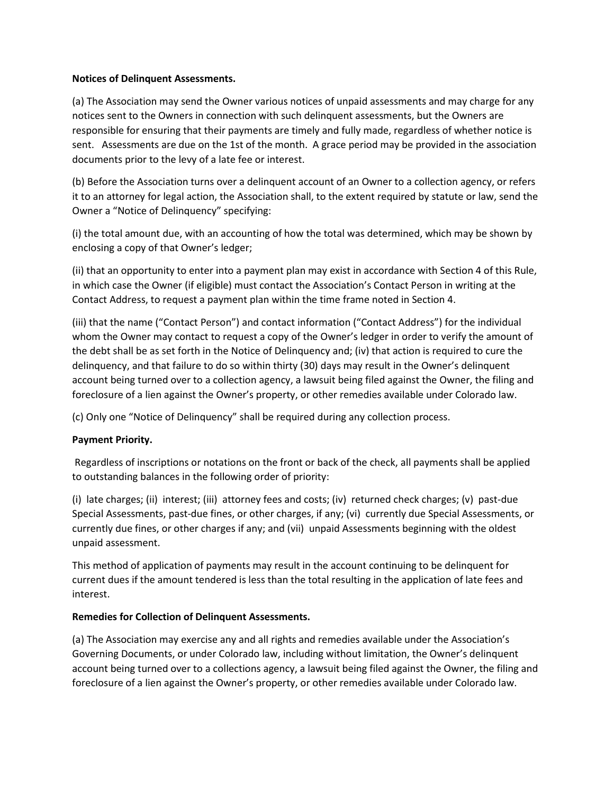### **Notices of Delinquent Assessments.**

(a) The Association may send the Owner various notices of unpaid assessments and may charge for any notices sent to the Owners in connection with such delinquent assessments, but the Owners are responsible for ensuring that their payments are timely and fully made, regardless of whether notice is sent. Assessments are due on the 1st of the month. A grace period may be provided in the association documents prior to the levy of a late fee or interest.

(b) Before the Association turns over a delinquent account of an Owner to a collection agency, or refers it to an attorney for legal action, the Association shall, to the extent required by statute or law, send the Owner a "Notice of Delinquency" specifying:

(i) the total amount due, with an accounting of how the total was determined, which may be shown by enclosing a copy of that Owner's ledger;

(ii) that an opportunity to enter into a payment plan may exist in accordance with Section 4 of this Rule, in which case the Owner (if eligible) must contact the Association's Contact Person in writing at the Contact Address, to request a payment plan within the time frame noted in Section 4.

(iii) that the name ("Contact Person") and contact information ("Contact Address") for the individual whom the Owner may contact to request a copy of the Owner's ledger in order to verify the amount of the debt shall be as set forth in the Notice of Delinquency and; (iv) that action is required to cure the delinquency, and that failure to do so within thirty (30) days may result in the Owner's delinquent account being turned over to a collection agency, a lawsuit being filed against the Owner, the filing and foreclosure of a lien against the Owner's property, or other remedies available under Colorado law.

(c) Only one "Notice of Delinquency" shall be required during any collection process.

### **Payment Priority.**

Regardless of inscriptions or notations on the front or back of the check, all payments shall be applied to outstanding balances in the following order of priority:

(i) late charges; (ii) interest; (iii) attorney fees and costs; (iv) returned check charges; (v) past-due Special Assessments, past-due fines, or other charges, if any; (vi) currently due Special Assessments, or currently due fines, or other charges if any; and (vii) unpaid Assessments beginning with the oldest unpaid assessment.

This method of application of payments may result in the account continuing to be delinquent for current dues if the amount tendered is less than the total resulting in the application of late fees and interest.

### **Remedies for Collection of Delinquent Assessments.**

(a) The Association may exercise any and all rights and remedies available under the Association's Governing Documents, or under Colorado law, including without limitation, the Owner's delinquent account being turned over to a collections agency, a lawsuit being filed against the Owner, the filing and foreclosure of a lien against the Owner's property, or other remedies available under Colorado law.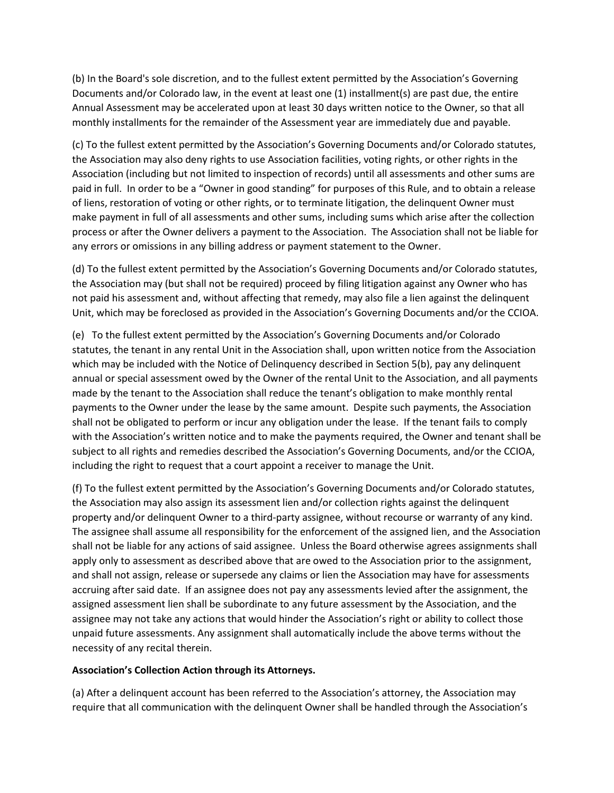(b) In the Board's sole discretion, and to the fullest extent permitted by the Association's Governing Documents and/or Colorado law, in the event at least one (1) installment(s) are past due, the entire Annual Assessment may be accelerated upon at least 30 days written notice to the Owner, so that all monthly installments for the remainder of the Assessment year are immediately due and payable.

(c) To the fullest extent permitted by the Association's Governing Documents and/or Colorado statutes, the Association may also deny rights to use Association facilities, voting rights, or other rights in the Association (including but not limited to inspection of records) until all assessments and other sums are paid in full. In order to be a "Owner in good standing" for purposes of this Rule, and to obtain a release of liens, restoration of voting or other rights, or to terminate litigation, the delinquent Owner must make payment in full of all assessments and other sums, including sums which arise after the collection process or after the Owner delivers a payment to the Association. The Association shall not be liable for any errors or omissions in any billing address or payment statement to the Owner.

(d) To the fullest extent permitted by the Association's Governing Documents and/or Colorado statutes, the Association may (but shall not be required) proceed by filing litigation against any Owner who has not paid his assessment and, without affecting that remedy, may also file a lien against the delinquent Unit, which may be foreclosed as provided in the Association's Governing Documents and/or the CCIOA.

(e) To the fullest extent permitted by the Association's Governing Documents and/or Colorado statutes, the tenant in any rental Unit in the Association shall, upon written notice from the Association which may be included with the Notice of Delinquency described in Section 5(b), pay any delinquent annual or special assessment owed by the Owner of the rental Unit to the Association, and all payments made by the tenant to the Association shall reduce the tenant's obligation to make monthly rental payments to the Owner under the lease by the same amount. Despite such payments, the Association shall not be obligated to perform or incur any obligation under the lease. If the tenant fails to comply with the Association's written notice and to make the payments required, the Owner and tenant shall be subject to all rights and remedies described the Association's Governing Documents, and/or the CCIOA, including the right to request that a court appoint a receiver to manage the Unit.

(f) To the fullest extent permitted by the Association's Governing Documents and/or Colorado statutes, the Association may also assign its assessment lien and/or collection rights against the delinquent property and/or delinquent Owner to a third-party assignee, without recourse or warranty of any kind. The assignee shall assume all responsibility for the enforcement of the assigned lien, and the Association shall not be liable for any actions of said assignee. Unless the Board otherwise agrees assignments shall apply only to assessment as described above that are owed to the Association prior to the assignment, and shall not assign, release or supersede any claims or lien the Association may have for assessments accruing after said date. If an assignee does not pay any assessments levied after the assignment, the assigned assessment lien shall be subordinate to any future assessment by the Association, and the assignee may not take any actions that would hinder the Association's right or ability to collect those unpaid future assessments. Any assignment shall automatically include the above terms without the necessity of any recital therein.

### **Association's Collection Action through its Attorneys.**

(a) After a delinquent account has been referred to the Association's attorney, the Association may require that all communication with the delinquent Owner shall be handled through the Association's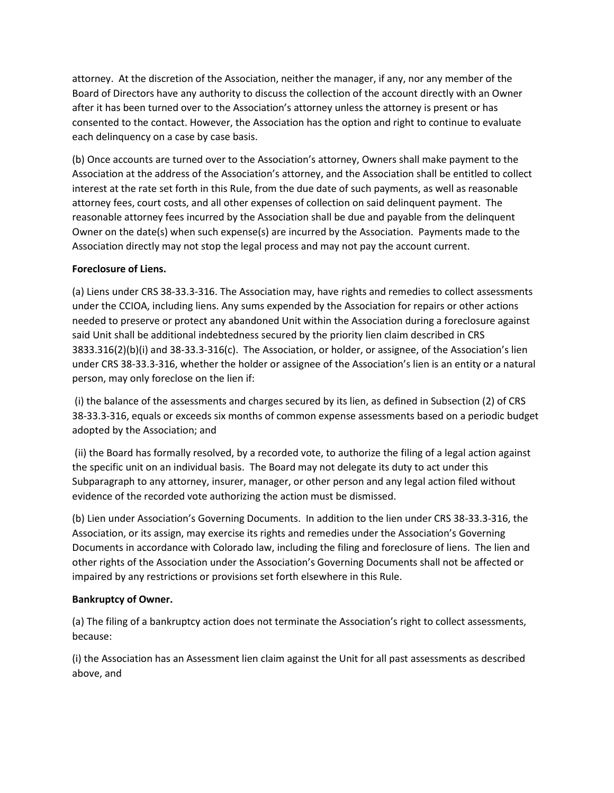attorney. At the discretion of the Association, neither the manager, if any, nor any member of the Board of Directors have any authority to discuss the collection of the account directly with an Owner after it has been turned over to the Association's attorney unless the attorney is present or has consented to the contact. However, the Association has the option and right to continue to evaluate each delinquency on a case by case basis.

(b) Once accounts are turned over to the Association's attorney, Owners shall make payment to the Association at the address of the Association's attorney, and the Association shall be entitled to collect interest at the rate set forth in this Rule, from the due date of such payments, as well as reasonable attorney fees, court costs, and all other expenses of collection on said delinquent payment. The reasonable attorney fees incurred by the Association shall be due and payable from the delinquent Owner on the date(s) when such expense(s) are incurred by the Association. Payments made to the Association directly may not stop the legal process and may not pay the account current.

### **Foreclosure of Liens.**

(a) Liens under CRS 38-33.3-316. The Association may, have rights and remedies to collect assessments under the CCIOA, including liens. Any sums expended by the Association for repairs or other actions needed to preserve or protect any abandoned Unit within the Association during a foreclosure against said Unit shall be additional indebtedness secured by the priority lien claim described in CRS 3833.316(2)(b)(i) and 38-33.3-316(c). The Association, or holder, or assignee, of the Association's lien under CRS 38-33.3-316, whether the holder or assignee of the Association's lien is an entity or a natural person, may only foreclose on the lien if:

(i) the balance of the assessments and charges secured by its lien, as defined in Subsection (2) of CRS 38-33.3-316, equals or exceeds six months of common expense assessments based on a periodic budget adopted by the Association; and

(ii) the Board has formally resolved, by a recorded vote, to authorize the filing of a legal action against the specific unit on an individual basis. The Board may not delegate its duty to act under this Subparagraph to any attorney, insurer, manager, or other person and any legal action filed without evidence of the recorded vote authorizing the action must be dismissed.

(b) Lien under Association's Governing Documents. In addition to the lien under CRS 38-33.3-316, the Association, or its assign, may exercise its rights and remedies under the Association's Governing Documents in accordance with Colorado law, including the filing and foreclosure of liens. The lien and other rights of the Association under the Association's Governing Documents shall not be affected or impaired by any restrictions or provisions set forth elsewhere in this Rule.

# **Bankruptcy of Owner.**

(a) The filing of a bankruptcy action does not terminate the Association's right to collect assessments, because:

(i) the Association has an Assessment lien claim against the Unit for all past assessments as described above, and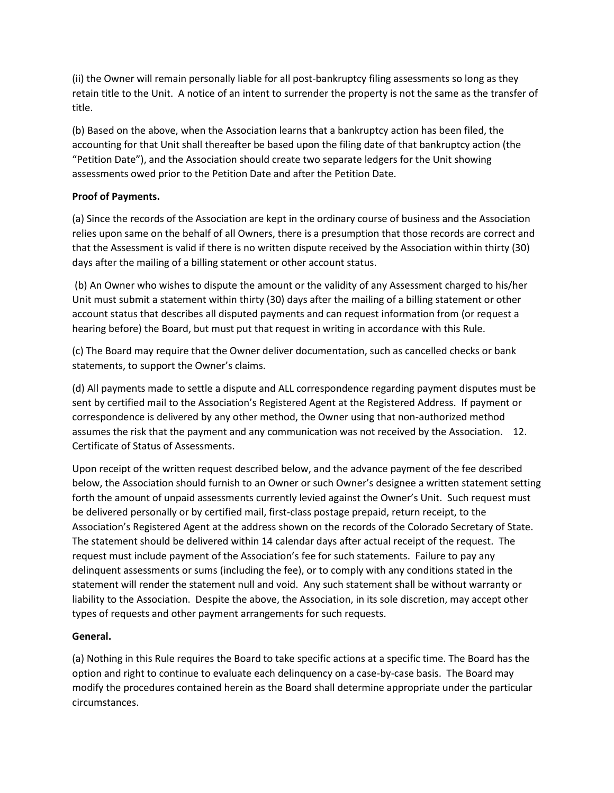(ii) the Owner will remain personally liable for all post-bankruptcy filing assessments so long as they retain title to the Unit. A notice of an intent to surrender the property is not the same as the transfer of title.

(b) Based on the above, when the Association learns that a bankruptcy action has been filed, the accounting for that Unit shall thereafter be based upon the filing date of that bankruptcy action (the "Petition Date"), and the Association should create two separate ledgers for the Unit showing assessments owed prior to the Petition Date and after the Petition Date.

# **Proof of Payments.**

(a) Since the records of the Association are kept in the ordinary course of business and the Association relies upon same on the behalf of all Owners, there is a presumption that those records are correct and that the Assessment is valid if there is no written dispute received by the Association within thirty (30) days after the mailing of a billing statement or other account status.

(b) An Owner who wishes to dispute the amount or the validity of any Assessment charged to his/her Unit must submit a statement within thirty (30) days after the mailing of a billing statement or other account status that describes all disputed payments and can request information from (or request a hearing before) the Board, but must put that request in writing in accordance with this Rule.

(c) The Board may require that the Owner deliver documentation, such as cancelled checks or bank statements, to support the Owner's claims.

(d) All payments made to settle a dispute and ALL correspondence regarding payment disputes must be sent by certified mail to the Association's Registered Agent at the Registered Address. If payment or correspondence is delivered by any other method, the Owner using that non-authorized method assumes the risk that the payment and any communication was not received by the Association. 12. Certificate of Status of Assessments.

Upon receipt of the written request described below, and the advance payment of the fee described below, the Association should furnish to an Owner or such Owner's designee a written statement setting forth the amount of unpaid assessments currently levied against the Owner's Unit. Such request must be delivered personally or by certified mail, first-class postage prepaid, return receipt, to the Association's Registered Agent at the address shown on the records of the Colorado Secretary of State. The statement should be delivered within 14 calendar days after actual receipt of the request. The request must include payment of the Association's fee for such statements. Failure to pay any delinquent assessments or sums (including the fee), or to comply with any conditions stated in the statement will render the statement null and void. Any such statement shall be without warranty or liability to the Association. Despite the above, the Association, in its sole discretion, may accept other types of requests and other payment arrangements for such requests.

# **General.**

(a) Nothing in this Rule requires the Board to take specific actions at a specific time. The Board has the option and right to continue to evaluate each delinquency on a case-by-case basis. The Board may modify the procedures contained herein as the Board shall determine appropriate under the particular circumstances.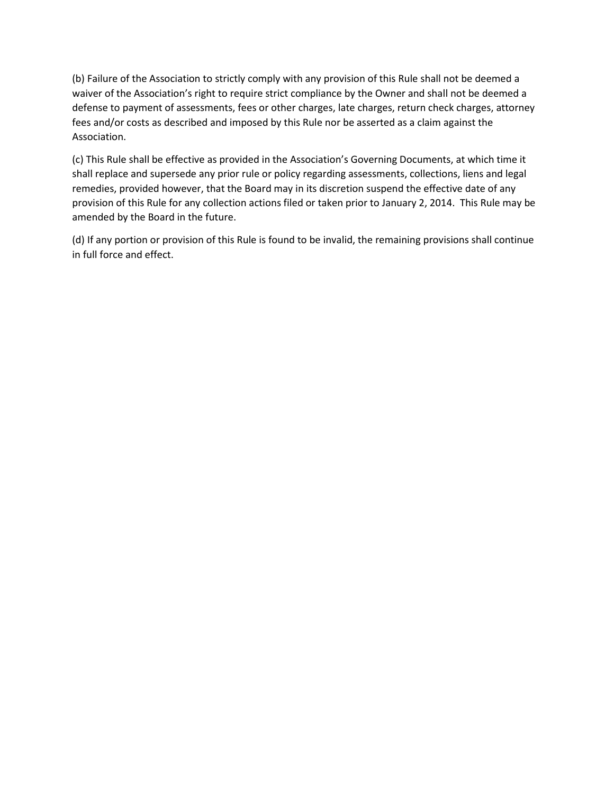(b) Failure of the Association to strictly comply with any provision of this Rule shall not be deemed a waiver of the Association's right to require strict compliance by the Owner and shall not be deemed a defense to payment of assessments, fees or other charges, late charges, return check charges, attorney fees and/or costs as described and imposed by this Rule nor be asserted as a claim against the Association.

(c) This Rule shall be effective as provided in the Association's Governing Documents, at which time it shall replace and supersede any prior rule or policy regarding assessments, collections, liens and legal remedies, provided however, that the Board may in its discretion suspend the effective date of any provision of this Rule for any collection actions filed or taken prior to January 2, 2014. This Rule may be amended by the Board in the future.

(d) If any portion or provision of this Rule is found to be invalid, the remaining provisions shall continue in full force and effect.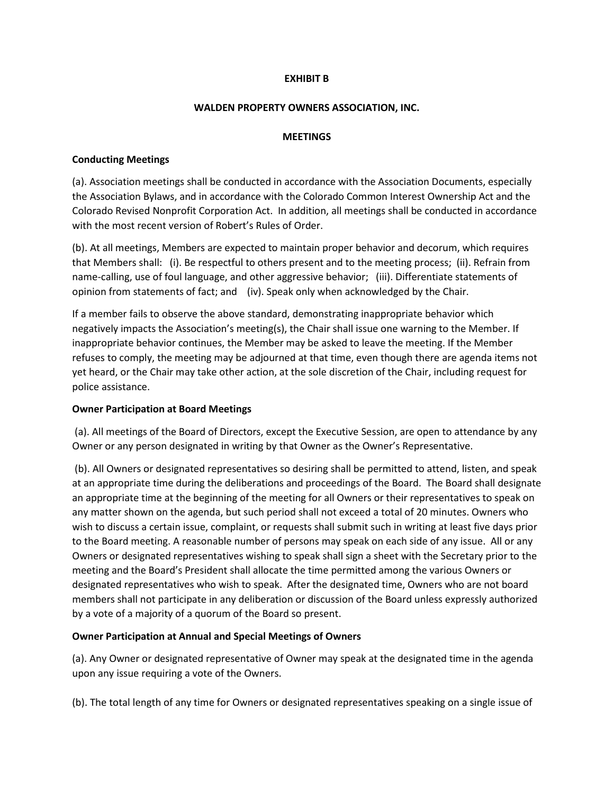### **EXHIBIT B**

#### **WALDEN PROPERTY OWNERS ASSOCIATION, INC.**

#### **MEETINGS**

### **Conducting Meetings**

(a). Association meetings shall be conducted in accordance with the Association Documents, especially the Association Bylaws, and in accordance with the Colorado Common Interest Ownership Act and the Colorado Revised Nonprofit Corporation Act. In addition, all meetings shall be conducted in accordance with the most recent version of Robert's Rules of Order.

(b). At all meetings, Members are expected to maintain proper behavior and decorum, which requires that Members shall: (i). Be respectful to others present and to the meeting process; (ii). Refrain from name-calling, use of foul language, and other aggressive behavior; (iii). Differentiate statements of opinion from statements of fact; and (iv). Speak only when acknowledged by the Chair.

If a member fails to observe the above standard, demonstrating inappropriate behavior which negatively impacts the Association's meeting(s), the Chair shall issue one warning to the Member. If inappropriate behavior continues, the Member may be asked to leave the meeting. If the Member refuses to comply, the meeting may be adjourned at that time, even though there are agenda items not yet heard, or the Chair may take other action, at the sole discretion of the Chair, including request for police assistance.

### **Owner Participation at Board Meetings**

(a). All meetings of the Board of Directors, except the Executive Session, are open to attendance by any Owner or any person designated in writing by that Owner as the Owner's Representative.

(b). All Owners or designated representatives so desiring shall be permitted to attend, listen, and speak at an appropriate time during the deliberations and proceedings of the Board. The Board shall designate an appropriate time at the beginning of the meeting for all Owners or their representatives to speak on any matter shown on the agenda, but such period shall not exceed a total of 20 minutes. Owners who wish to discuss a certain issue, complaint, or requests shall submit such in writing at least five days prior to the Board meeting. A reasonable number of persons may speak on each side of any issue. All or any Owners or designated representatives wishing to speak shall sign a sheet with the Secretary prior to the meeting and the Board's President shall allocate the time permitted among the various Owners or designated representatives who wish to speak. After the designated time, Owners who are not board members shall not participate in any deliberation or discussion of the Board unless expressly authorized by a vote of a majority of a quorum of the Board so present.

### **Owner Participation at Annual and Special Meetings of Owners**

(a). Any Owner or designated representative of Owner may speak at the designated time in the agenda upon any issue requiring a vote of the Owners.

(b). The total length of any time for Owners or designated representatives speaking on a single issue of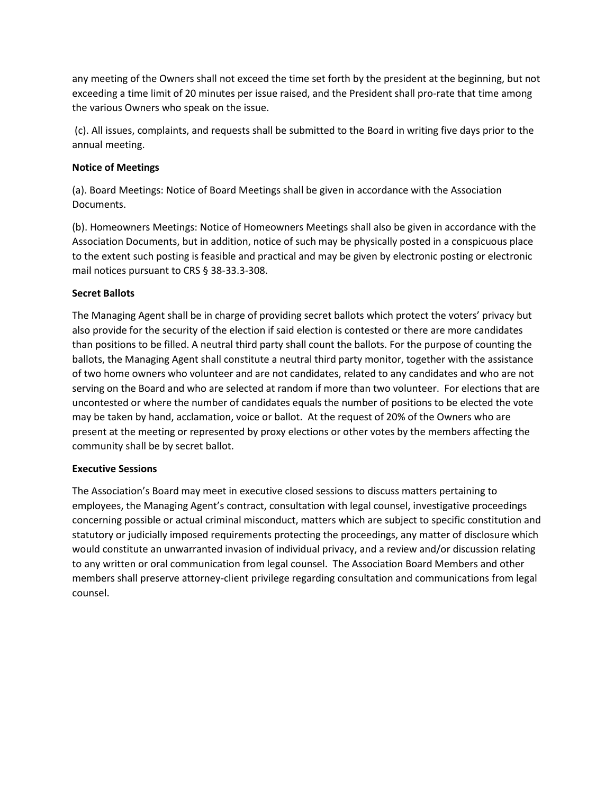any meeting of the Owners shall not exceed the time set forth by the president at the beginning, but not exceeding a time limit of 20 minutes per issue raised, and the President shall pro-rate that time among the various Owners who speak on the issue.

(c). All issues, complaints, and requests shall be submitted to the Board in writing five days prior to the annual meeting.

# **Notice of Meetings**

(a). Board Meetings: Notice of Board Meetings shall be given in accordance with the Association Documents.

(b). Homeowners Meetings: Notice of Homeowners Meetings shall also be given in accordance with the Association Documents, but in addition, notice of such may be physically posted in a conspicuous place to the extent such posting is feasible and practical and may be given by electronic posting or electronic mail notices pursuant to CRS § 38-33.3-308.

# **Secret Ballots**

The Managing Agent shall be in charge of providing secret ballots which protect the voters' privacy but also provide for the security of the election if said election is contested or there are more candidates than positions to be filled. A neutral third party shall count the ballots. For the purpose of counting the ballots, the Managing Agent shall constitute a neutral third party monitor, together with the assistance of two home owners who volunteer and are not candidates, related to any candidates and who are not serving on the Board and who are selected at random if more than two volunteer. For elections that are uncontested or where the number of candidates equals the number of positions to be elected the vote may be taken by hand, acclamation, voice or ballot. At the request of 20% of the Owners who are present at the meeting or represented by proxy elections or other votes by the members affecting the community shall be by secret ballot.

### **Executive Sessions**

The Association's Board may meet in executive closed sessions to discuss matters pertaining to employees, the Managing Agent's contract, consultation with legal counsel, investigative proceedings concerning possible or actual criminal misconduct, matters which are subject to specific constitution and statutory or judicially imposed requirements protecting the proceedings, any matter of disclosure which would constitute an unwarranted invasion of individual privacy, and a review and/or discussion relating to any written or oral communication from legal counsel. The Association Board Members and other members shall preserve attorney-client privilege regarding consultation and communications from legal counsel.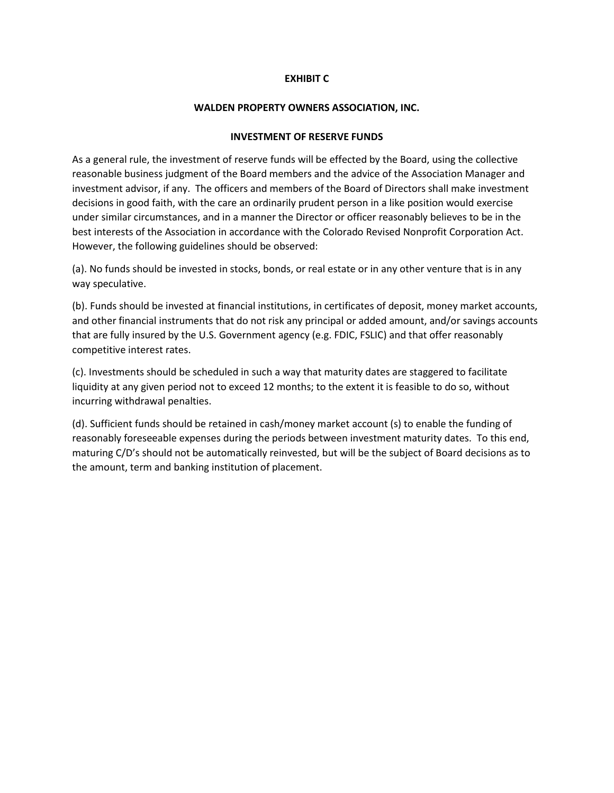#### **EXHIBIT C**

#### **WALDEN PROPERTY OWNERS ASSOCIATION, INC.**

#### **INVESTMENT OF RESERVE FUNDS**

As a general rule, the investment of reserve funds will be effected by the Board, using the collective reasonable business judgment of the Board members and the advice of the Association Manager and investment advisor, if any. The officers and members of the Board of Directors shall make investment decisions in good faith, with the care an ordinarily prudent person in a like position would exercise under similar circumstances, and in a manner the Director or officer reasonably believes to be in the best interests of the Association in accordance with the Colorado Revised Nonprofit Corporation Act. However, the following guidelines should be observed:

(a). No funds should be invested in stocks, bonds, or real estate or in any other venture that is in any way speculative.

(b). Funds should be invested at financial institutions, in certificates of deposit, money market accounts, and other financial instruments that do not risk any principal or added amount, and/or savings accounts that are fully insured by the U.S. Government agency (e.g. FDIC, FSLIC) and that offer reasonably competitive interest rates.

(c). Investments should be scheduled in such a way that maturity dates are staggered to facilitate liquidity at any given period not to exceed 12 months; to the extent it is feasible to do so, without incurring withdrawal penalties.

(d). Sufficient funds should be retained in cash/money market account (s) to enable the funding of reasonably foreseeable expenses during the periods between investment maturity dates. To this end, maturing C/D's should not be automatically reinvested, but will be the subject of Board decisions as to the amount, term and banking institution of placement.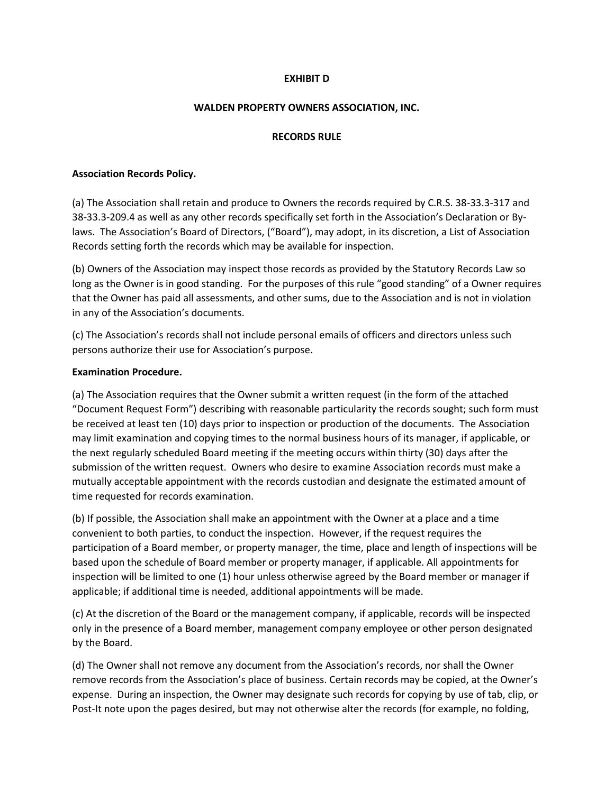### **EXHIBIT D**

#### **WALDEN PROPERTY OWNERS ASSOCIATION, INC.**

#### **RECORDS RULE**

#### **Association Records Policy.**

(a) The Association shall retain and produce to Owners the records required by C.R.S. 38-33.3-317 and 38-33.3-209.4 as well as any other records specifically set forth in the Association's Declaration or Bylaws. The Association's Board of Directors, ("Board"), may adopt, in its discretion, a List of Association Records setting forth the records which may be available for inspection.

(b) Owners of the Association may inspect those records as provided by the Statutory Records Law so long as the Owner is in good standing. For the purposes of this rule "good standing" of a Owner requires that the Owner has paid all assessments, and other sums, due to the Association and is not in violation in any of the Association's documents.

(c) The Association's records shall not include personal emails of officers and directors unless such persons authorize their use for Association's purpose.

#### **Examination Procedure.**

(a) The Association requires that the Owner submit a written request (in the form of the attached "Document Request Form") describing with reasonable particularity the records sought; such form must be received at least ten (10) days prior to inspection or production of the documents. The Association may limit examination and copying times to the normal business hours of its manager, if applicable, or the next regularly scheduled Board meeting if the meeting occurs within thirty (30) days after the submission of the written request. Owners who desire to examine Association records must make a mutually acceptable appointment with the records custodian and designate the estimated amount of time requested for records examination.

(b) If possible, the Association shall make an appointment with the Owner at a place and a time convenient to both parties, to conduct the inspection. However, if the request requires the participation of a Board member, or property manager, the time, place and length of inspections will be based upon the schedule of Board member or property manager, if applicable. All appointments for inspection will be limited to one (1) hour unless otherwise agreed by the Board member or manager if applicable; if additional time is needed, additional appointments will be made.

(c) At the discretion of the Board or the management company, if applicable, records will be inspected only in the presence of a Board member, management company employee or other person designated by the Board.

(d) The Owner shall not remove any document from the Association's records, nor shall the Owner remove records from the Association's place of business. Certain records may be copied, at the Owner's expense. During an inspection, the Owner may designate such records for copying by use of tab, clip, or Post-It note upon the pages desired, but may not otherwise alter the records (for example, no folding,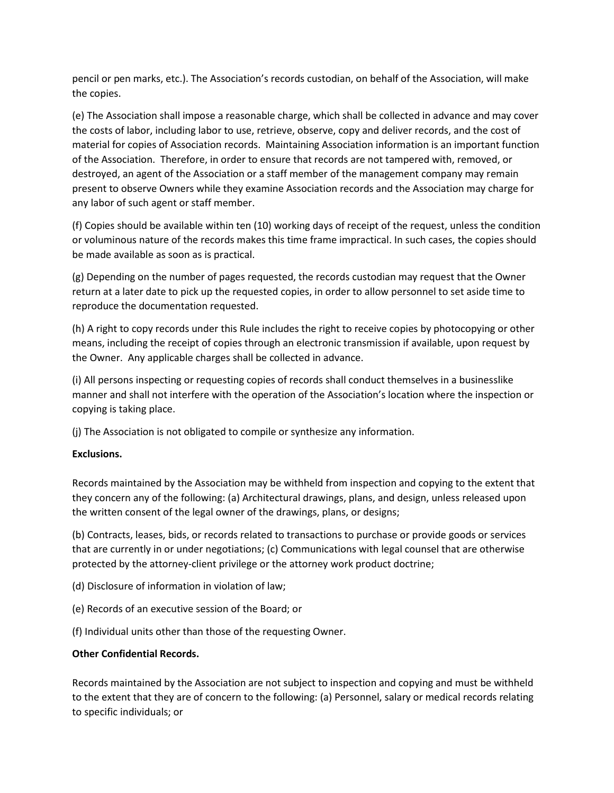pencil or pen marks, etc.). The Association's records custodian, on behalf of the Association, will make the copies.

(e) The Association shall impose a reasonable charge, which shall be collected in advance and may cover the costs of labor, including labor to use, retrieve, observe, copy and deliver records, and the cost of material for copies of Association records. Maintaining Association information is an important function of the Association. Therefore, in order to ensure that records are not tampered with, removed, or destroyed, an agent of the Association or a staff member of the management company may remain present to observe Owners while they examine Association records and the Association may charge for any labor of such agent or staff member.

(f) Copies should be available within ten (10) working days of receipt of the request, unless the condition or voluminous nature of the records makes this time frame impractical. In such cases, the copies should be made available as soon as is practical.

(g) Depending on the number of pages requested, the records custodian may request that the Owner return at a later date to pick up the requested copies, in order to allow personnel to set aside time to reproduce the documentation requested.

(h) A right to copy records under this Rule includes the right to receive copies by photocopying or other means, including the receipt of copies through an electronic transmission if available, upon request by the Owner. Any applicable charges shall be collected in advance.

(i) All persons inspecting or requesting copies of records shall conduct themselves in a businesslike manner and shall not interfere with the operation of the Association's location where the inspection or copying is taking place.

(j) The Association is not obligated to compile or synthesize any information.

# **Exclusions.**

Records maintained by the Association may be withheld from inspection and copying to the extent that they concern any of the following: (a) Architectural drawings, plans, and design, unless released upon the written consent of the legal owner of the drawings, plans, or designs;

(b) Contracts, leases, bids, or records related to transactions to purchase or provide goods or services that are currently in or under negotiations; (c) Communications with legal counsel that are otherwise protected by the attorney-client privilege or the attorney work product doctrine;

- (d) Disclosure of information in violation of law;
- (e) Records of an executive session of the Board; or
- (f) Individual units other than those of the requesting Owner.

### **Other Confidential Records.**

Records maintained by the Association are not subject to inspection and copying and must be withheld to the extent that they are of concern to the following: (a) Personnel, salary or medical records relating to specific individuals; or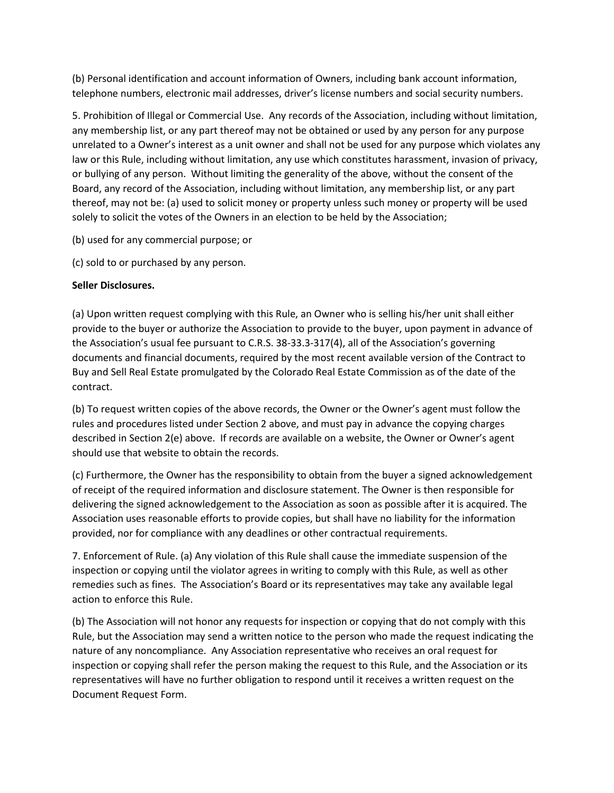(b) Personal identification and account information of Owners, including bank account information, telephone numbers, electronic mail addresses, driver's license numbers and social security numbers.

5. Prohibition of Illegal or Commercial Use. Any records of the Association, including without limitation, any membership list, or any part thereof may not be obtained or used by any person for any purpose unrelated to a Owner's interest as a unit owner and shall not be used for any purpose which violates any law or this Rule, including without limitation, any use which constitutes harassment, invasion of privacy, or bullying of any person. Without limiting the generality of the above, without the consent of the Board, any record of the Association, including without limitation, any membership list, or any part thereof, may not be: (a) used to solicit money or property unless such money or property will be used solely to solicit the votes of the Owners in an election to be held by the Association;

- (b) used for any commercial purpose; or
- (c) sold to or purchased by any person.

# **Seller Disclosures.**

(a) Upon written request complying with this Rule, an Owner who is selling his/her unit shall either provide to the buyer or authorize the Association to provide to the buyer, upon payment in advance of the Association's usual fee pursuant to C.R.S. 38-33.3-317(4), all of the Association's governing documents and financial documents, required by the most recent available version of the Contract to Buy and Sell Real Estate promulgated by the Colorado Real Estate Commission as of the date of the contract.

(b) To request written copies of the above records, the Owner or the Owner's agent must follow the rules and procedures listed under Section 2 above, and must pay in advance the copying charges described in Section 2(e) above. If records are available on a website, the Owner or Owner's agent should use that website to obtain the records.

(c) Furthermore, the Owner has the responsibility to obtain from the buyer a signed acknowledgement of receipt of the required information and disclosure statement. The Owner is then responsible for delivering the signed acknowledgement to the Association as soon as possible after it is acquired. The Association uses reasonable efforts to provide copies, but shall have no liability for the information provided, nor for compliance with any deadlines or other contractual requirements.

7. Enforcement of Rule. (a) Any violation of this Rule shall cause the immediate suspension of the inspection or copying until the violator agrees in writing to comply with this Rule, as well as other remedies such as fines. The Association's Board or its representatives may take any available legal action to enforce this Rule.

(b) The Association will not honor any requests for inspection or copying that do not comply with this Rule, but the Association may send a written notice to the person who made the request indicating the nature of any noncompliance. Any Association representative who receives an oral request for inspection or copying shall refer the person making the request to this Rule, and the Association or its representatives will have no further obligation to respond until it receives a written request on the Document Request Form.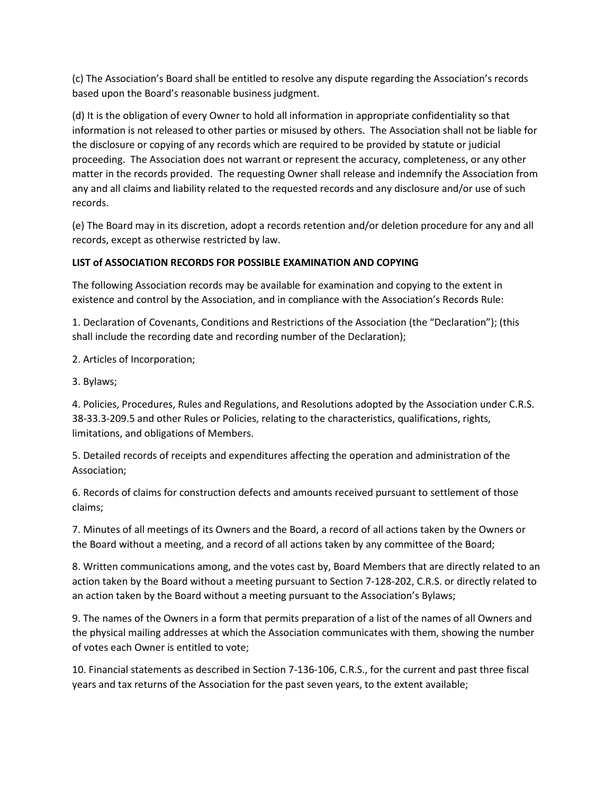(c) The Association's Board shall be entitled to resolve any dispute regarding the Association's records based upon the Board's reasonable business judgment.

(d) It is the obligation of every Owner to hold all information in appropriate confidentiality so that information is not released to other parties or misused by others. The Association shall not be liable for the disclosure or copying of any records which are required to be provided by statute or judicial proceeding. The Association does not warrant or represent the accuracy, completeness, or any other matter in the records provided. The requesting Owner shall release and indemnify the Association from any and all claims and liability related to the requested records and any disclosure and/or use of such records.

(e) The Board may in its discretion, adopt a records retention and/or deletion procedure for any and all records, except as otherwise restricted by law.

# **LIST of ASSOCIATION RECORDS FOR POSSIBLE EXAMINATION AND COPYING**

The following Association records may be available for examination and copying to the extent in existence and control by the Association, and in compliance with the Association's Records Rule:

1. Declaration of Covenants, Conditions and Restrictions of the Association (the "Declaration"); (this shall include the recording date and recording number of the Declaration);

2. Articles of Incorporation;

3. Bylaws;

4. Policies, Procedures, Rules and Regulations, and Resolutions adopted by the Association under C.R.S. 38-33.3-209.5 and other Rules or Policies, relating to the characteristics, qualifications, rights, limitations, and obligations of Members.

5. Detailed records of receipts and expenditures affecting the operation and administration of the Association;

6. Records of claims for construction defects and amounts received pursuant to settlement of those claims;

7. Minutes of all meetings of its Owners and the Board, a record of all actions taken by the Owners or the Board without a meeting, and a record of all actions taken by any committee of the Board;

8. Written communications among, and the votes cast by, Board Members that are directly related to an action taken by the Board without a meeting pursuant to Section 7-128-202, C.R.S. or directly related to an action taken by the Board without a meeting pursuant to the Association's Bylaws;

9. The names of the Owners in a form that permits preparation of a list of the names of all Owners and the physical mailing addresses at which the Association communicates with them, showing the number of votes each Owner is entitled to vote;

10. Financial statements as described in Section 7-136-106, C.R.S., for the current and past three fiscal years and tax returns of the Association for the past seven years, to the extent available;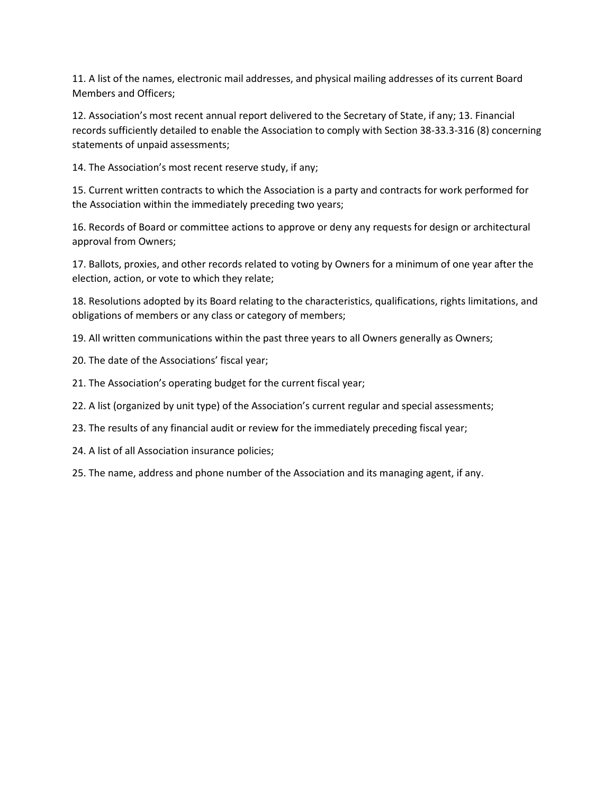11. A list of the names, electronic mail addresses, and physical mailing addresses of its current Board Members and Officers;

12. Association's most recent annual report delivered to the Secretary of State, if any; 13. Financial records sufficiently detailed to enable the Association to comply with Section 38-33.3-316 (8) concerning statements of unpaid assessments;

14. The Association's most recent reserve study, if any;

15. Current written contracts to which the Association is a party and contracts for work performed for the Association within the immediately preceding two years;

16. Records of Board or committee actions to approve or deny any requests for design or architectural approval from Owners;

17. Ballots, proxies, and other records related to voting by Owners for a minimum of one year after the election, action, or vote to which they relate;

18. Resolutions adopted by its Board relating to the characteristics, qualifications, rights limitations, and obligations of members or any class or category of members;

19. All written communications within the past three years to all Owners generally as Owners;

- 20. The date of the Associations' fiscal year;
- 21. The Association's operating budget for the current fiscal year;
- 22. A list (organized by unit type) of the Association's current regular and special assessments;
- 23. The results of any financial audit or review for the immediately preceding fiscal year;
- 24. A list of all Association insurance policies;
- 25. The name, address and phone number of the Association and its managing agent, if any.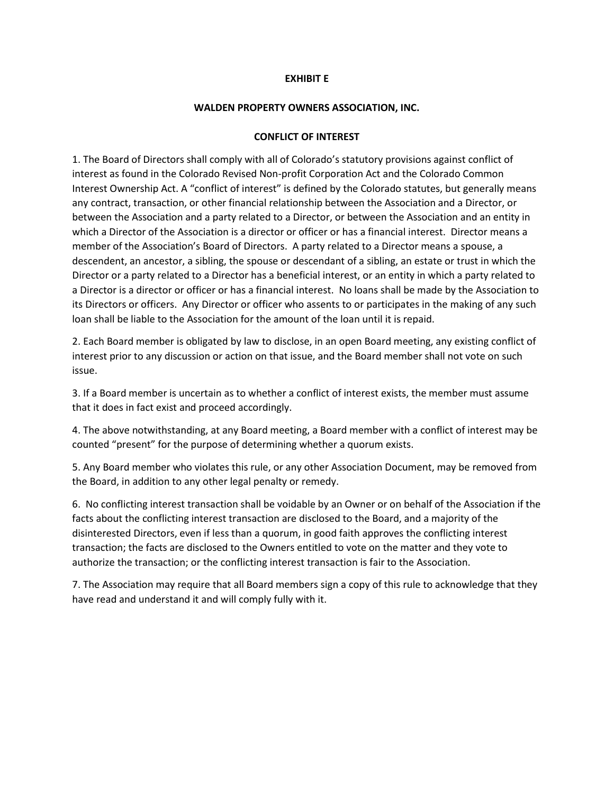#### **EXHIBIT E**

#### **WALDEN PROPERTY OWNERS ASSOCIATION, INC.**

#### **CONFLICT OF INTEREST**

1. The Board of Directors shall comply with all of Colorado's statutory provisions against conflict of interest as found in the Colorado Revised Non-profit Corporation Act and the Colorado Common Interest Ownership Act. A "conflict of interest" is defined by the Colorado statutes, but generally means any contract, transaction, or other financial relationship between the Association and a Director, or between the Association and a party related to a Director, or between the Association and an entity in which a Director of the Association is a director or officer or has a financial interest. Director means a member of the Association's Board of Directors. A party related to a Director means a spouse, a descendent, an ancestor, a sibling, the spouse or descendant of a sibling, an estate or trust in which the Director or a party related to a Director has a beneficial interest, or an entity in which a party related to a Director is a director or officer or has a financial interest. No loans shall be made by the Association to its Directors or officers. Any Director or officer who assents to or participates in the making of any such loan shall be liable to the Association for the amount of the loan until it is repaid.

2. Each Board member is obligated by law to disclose, in an open Board meeting, any existing conflict of interest prior to any discussion or action on that issue, and the Board member shall not vote on such issue.

3. If a Board member is uncertain as to whether a conflict of interest exists, the member must assume that it does in fact exist and proceed accordingly.

4. The above notwithstanding, at any Board meeting, a Board member with a conflict of interest may be counted "present" for the purpose of determining whether a quorum exists.

5. Any Board member who violates this rule, or any other Association Document, may be removed from the Board, in addition to any other legal penalty or remedy.

6. No conflicting interest transaction shall be voidable by an Owner or on behalf of the Association if the facts about the conflicting interest transaction are disclosed to the Board, and a majority of the disinterested Directors, even if less than a quorum, in good faith approves the conflicting interest transaction; the facts are disclosed to the Owners entitled to vote on the matter and they vote to authorize the transaction; or the conflicting interest transaction is fair to the Association.

7. The Association may require that all Board members sign a copy of this rule to acknowledge that they have read and understand it and will comply fully with it.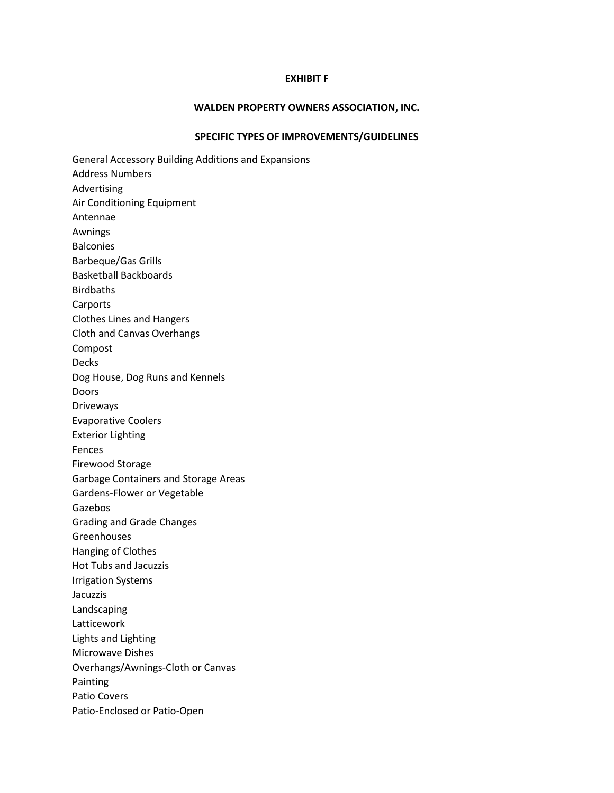#### **EXHIBIT F**

#### **WALDEN PROPERTY OWNERS ASSOCIATION, INC.**

#### **SPECIFIC TYPES OF IMPROVEMENTS/GUIDELINES**

General Accessory Building Additions and Expansions Address Numbers Advertising Air Conditioning Equipment Antennae Awnings Balconies Barbeque/Gas Grills Basketball Backboards Birdbaths Carports Clothes Lines and Hangers Cloth and Canvas Overhangs Compost Decks Dog House, Dog Runs and Kennels Doors Driveways Evaporative Coolers Exterior Lighting Fences Firewood Storage Garbage Containers and Storage Areas Gardens-Flower or Vegetable Gazebos Grading and Grade Changes Greenhouses Hanging of Clothes Hot Tubs and Jacuzzis Irrigation Systems Jacuzzis Landscaping Latticework Lights and Lighting Microwave Dishes Overhangs/Awnings-Cloth or Canvas Painting Patio Covers Patio-Enclosed or Patio-Open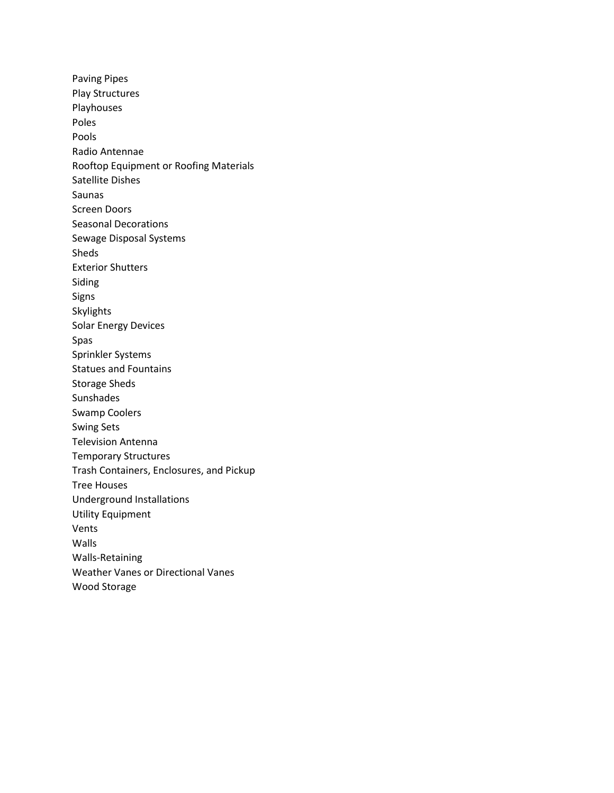Paving Pipes Play Structures Playhouses Poles Pools Radio Antennae Rooftop Equipment or Roofing Materials Satellite Dishes Saunas Screen Doors Seasonal Decorations Sewage Disposal Systems Sheds Exterior Shutters Siding Signs Skylights Solar Energy Devices Spas Sprinkler Systems Statues and Fountains Storage Sheds Sunshades Swamp Coolers Swing Sets Television Antenna Temporary Structures Trash Containers, Enclosures, and Pickup Tree Houses Underground Installations Utility Equipment Vents Walls Walls-Retaining Weather Vanes or Directional Vanes Wood Storage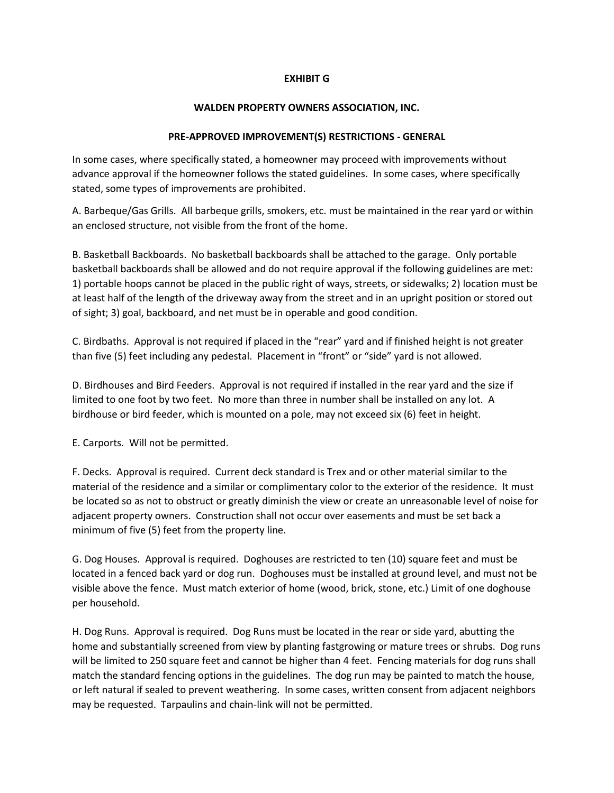### **EXHIBIT G**

#### **WALDEN PROPERTY OWNERS ASSOCIATION, INC.**

#### **PRE-APPROVED IMPROVEMENT(S) RESTRICTIONS - GENERAL**

In some cases, where specifically stated, a homeowner may proceed with improvements without advance approval if the homeowner follows the stated guidelines. In some cases, where specifically stated, some types of improvements are prohibited.

A. Barbeque/Gas Grills. All barbeque grills, smokers, etc. must be maintained in the rear yard or within an enclosed structure, not visible from the front of the home.

B. Basketball Backboards. No basketball backboards shall be attached to the garage. Only portable basketball backboards shall be allowed and do not require approval if the following guidelines are met: 1) portable hoops cannot be placed in the public right of ways, streets, or sidewalks; 2) location must be at least half of the length of the driveway away from the street and in an upright position or stored out of sight; 3) goal, backboard, and net must be in operable and good condition.

C. Birdbaths. Approval is not required if placed in the "rear" yard and if finished height is not greater than five (5) feet including any pedestal. Placement in "front" or "side" yard is not allowed.

D. Birdhouses and Bird Feeders. Approval is not required if installed in the rear yard and the size if limited to one foot by two feet. No more than three in number shall be installed on any lot. A birdhouse or bird feeder, which is mounted on a pole, may not exceed six (6) feet in height.

E. Carports. Will not be permitted.

F. Decks. Approval is required. Current deck standard is Trex and or other material similar to the material of the residence and a similar or complimentary color to the exterior of the residence. It must be located so as not to obstruct or greatly diminish the view or create an unreasonable level of noise for adjacent property owners. Construction shall not occur over easements and must be set back a minimum of five (5) feet from the property line.

G. Dog Houses. Approval is required. Doghouses are restricted to ten (10) square feet and must be located in a fenced back yard or dog run. Doghouses must be installed at ground level, and must not be visible above the fence. Must match exterior of home (wood, brick, stone, etc.) Limit of one doghouse per household.

H. Dog Runs. Approval is required. Dog Runs must be located in the rear or side yard, abutting the home and substantially screened from view by planting fastgrowing or mature trees or shrubs. Dog runs will be limited to 250 square feet and cannot be higher than 4 feet. Fencing materials for dog runs shall match the standard fencing options in the guidelines. The dog run may be painted to match the house, or left natural if sealed to prevent weathering. In some cases, written consent from adjacent neighbors may be requested. Tarpaulins and chain-link will not be permitted.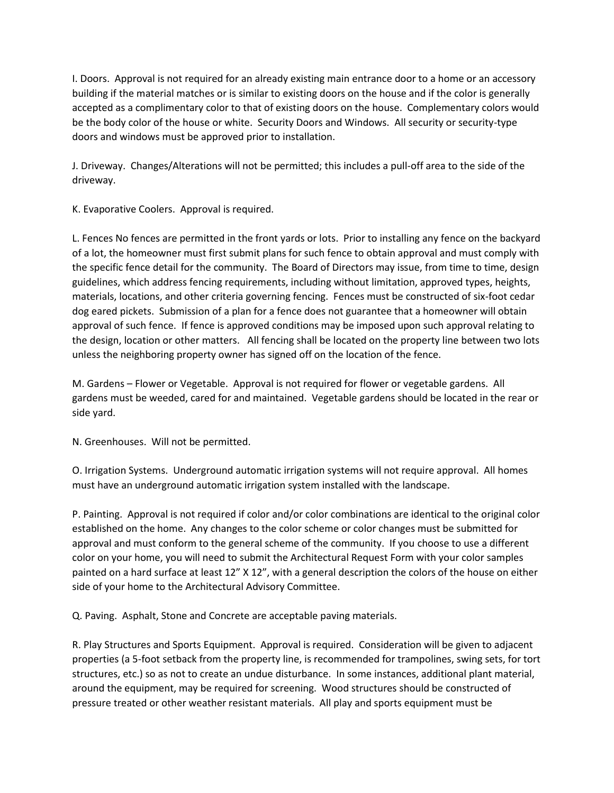I. Doors. Approval is not required for an already existing main entrance door to a home or an accessory building if the material matches or is similar to existing doors on the house and if the color is generally accepted as a complimentary color to that of existing doors on the house. Complementary colors would be the body color of the house or white. Security Doors and Windows. All security or security-type doors and windows must be approved prior to installation.

J. Driveway. Changes/Alterations will not be permitted; this includes a pull-off area to the side of the driveway.

K. Evaporative Coolers. Approval is required.

L. Fences No fences are permitted in the front yards or lots. Prior to installing any fence on the backyard of a lot, the homeowner must first submit plans for such fence to obtain approval and must comply with the specific fence detail for the community. The Board of Directors may issue, from time to time, design guidelines, which address fencing requirements, including without limitation, approved types, heights, materials, locations, and other criteria governing fencing. Fences must be constructed of six-foot cedar dog eared pickets. Submission of a plan for a fence does not guarantee that a homeowner will obtain approval of such fence. If fence is approved conditions may be imposed upon such approval relating to the design, location or other matters. All fencing shall be located on the property line between two lots unless the neighboring property owner has signed off on the location of the fence.

M. Gardens – Flower or Vegetable. Approval is not required for flower or vegetable gardens. All gardens must be weeded, cared for and maintained. Vegetable gardens should be located in the rear or side yard.

N. Greenhouses. Will not be permitted.

O. Irrigation Systems. Underground automatic irrigation systems will not require approval. All homes must have an underground automatic irrigation system installed with the landscape.

P. Painting. Approval is not required if color and/or color combinations are identical to the original color established on the home. Any changes to the color scheme or color changes must be submitted for approval and must conform to the general scheme of the community. If you choose to use a different color on your home, you will need to submit the Architectural Request Form with your color samples painted on a hard surface at least 12" X 12", with a general description the colors of the house on either side of your home to the Architectural Advisory Committee.

Q. Paving. Asphalt, Stone and Concrete are acceptable paving materials.

R. Play Structures and Sports Equipment. Approval is required. Consideration will be given to adjacent properties (a 5-foot setback from the property line, is recommended for trampolines, swing sets, for tort structures, etc.) so as not to create an undue disturbance. In some instances, additional plant material, around the equipment, may be required for screening. Wood structures should be constructed of pressure treated or other weather resistant materials. All play and sports equipment must be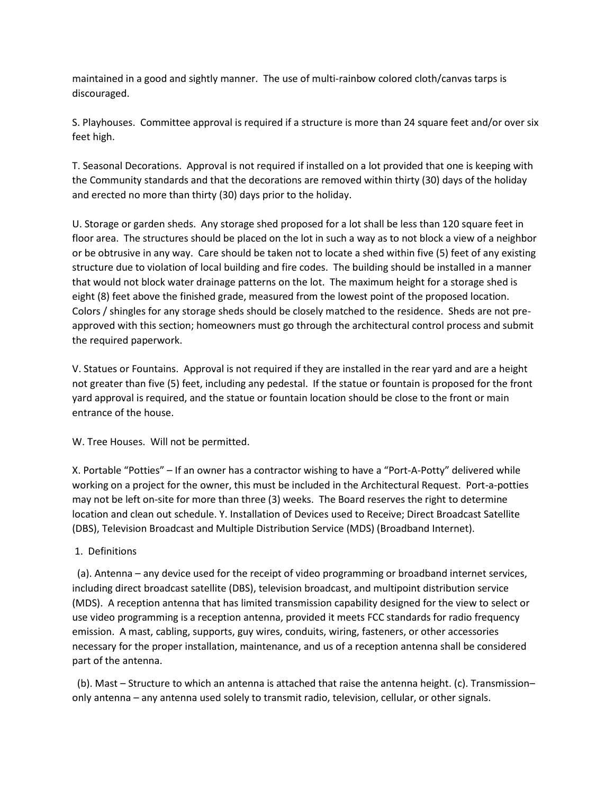maintained in a good and sightly manner. The use of multi-rainbow colored cloth/canvas tarps is discouraged.

S. Playhouses. Committee approval is required if a structure is more than 24 square feet and/or over six feet high.

T. Seasonal Decorations. Approval is not required if installed on a lot provided that one is keeping with the Community standards and that the decorations are removed within thirty (30) days of the holiday and erected no more than thirty (30) days prior to the holiday.

U. Storage or garden sheds. Any storage shed proposed for a lot shall be less than 120 square feet in floor area. The structures should be placed on the lot in such a way as to not block a view of a neighbor or be obtrusive in any way. Care should be taken not to locate a shed within five (5) feet of any existing structure due to violation of local building and fire codes. The building should be installed in a manner that would not block water drainage patterns on the lot. The maximum height for a storage shed is eight (8) feet above the finished grade, measured from the lowest point of the proposed location. Colors / shingles for any storage sheds should be closely matched to the residence. Sheds are not preapproved with this section; homeowners must go through the architectural control process and submit the required paperwork.

V. Statues or Fountains. Approval is not required if they are installed in the rear yard and are a height not greater than five (5) feet, including any pedestal. If the statue or fountain is proposed for the front yard approval is required, and the statue or fountain location should be close to the front or main entrance of the house.

W. Tree Houses. Will not be permitted.

X. Portable "Potties" – If an owner has a contractor wishing to have a "Port-A-Potty" delivered while working on a project for the owner, this must be included in the Architectural Request. Port-a-potties may not be left on-site for more than three (3) weeks. The Board reserves the right to determine location and clean out schedule. Y. Installation of Devices used to Receive; Direct Broadcast Satellite (DBS), Television Broadcast and Multiple Distribution Service (MDS) (Broadband Internet).

### 1. Definitions

 (a). Antenna – any device used for the receipt of video programming or broadband internet services, including direct broadcast satellite (DBS), television broadcast, and multipoint distribution service (MDS). A reception antenna that has limited transmission capability designed for the view to select or use video programming is a reception antenna, provided it meets FCC standards for radio frequency emission. A mast, cabling, supports, guy wires, conduits, wiring, fasteners, or other accessories necessary for the proper installation, maintenance, and us of a reception antenna shall be considered part of the antenna.

 (b). Mast – Structure to which an antenna is attached that raise the antenna height. (c). Transmission– only antenna – any antenna used solely to transmit radio, television, cellular, or other signals.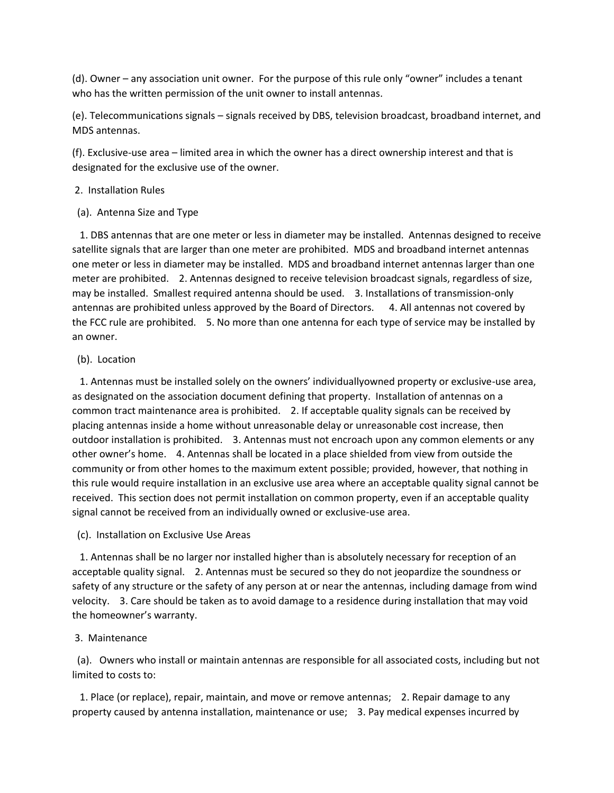(d). Owner – any association unit owner. For the purpose of this rule only "owner" includes a tenant who has the written permission of the unit owner to install antennas.

(e). Telecommunications signals – signals received by DBS, television broadcast, broadband internet, and MDS antennas.

(f). Exclusive-use area – limited area in which the owner has a direct ownership interest and that is designated for the exclusive use of the owner.

#### 2. Installation Rules

(a). Antenna Size and Type

 1. DBS antennas that are one meter or less in diameter may be installed. Antennas designed to receive satellite signals that are larger than one meter are prohibited. MDS and broadband internet antennas one meter or less in diameter may be installed. MDS and broadband internet antennas larger than one meter are prohibited. 2. Antennas designed to receive television broadcast signals, regardless of size, may be installed. Smallest required antenna should be used. 3. Installations of transmission-only antennas are prohibited unless approved by the Board of Directors. 4. All antennas not covered by the FCC rule are prohibited. 5. No more than one antenna for each type of service may be installed by an owner.

#### (b). Location

 1. Antennas must be installed solely on the owners' individuallyowned property or exclusive-use area, as designated on the association document defining that property. Installation of antennas on a common tract maintenance area is prohibited. 2. If acceptable quality signals can be received by placing antennas inside a home without unreasonable delay or unreasonable cost increase, then outdoor installation is prohibited. 3. Antennas must not encroach upon any common elements or any other owner's home. 4. Antennas shall be located in a place shielded from view from outside the community or from other homes to the maximum extent possible; provided, however, that nothing in this rule would require installation in an exclusive use area where an acceptable quality signal cannot be received. This section does not permit installation on common property, even if an acceptable quality signal cannot be received from an individually owned or exclusive-use area.

(c). Installation on Exclusive Use Areas

 1. Antennas shall be no larger nor installed higher than is absolutely necessary for reception of an acceptable quality signal. 2. Antennas must be secured so they do not jeopardize the soundness or safety of any structure or the safety of any person at or near the antennas, including damage from wind velocity. 3. Care should be taken as to avoid damage to a residence during installation that may void the homeowner's warranty.

#### 3. Maintenance

 (a). Owners who install or maintain antennas are responsible for all associated costs, including but not limited to costs to:

 1. Place (or replace), repair, maintain, and move or remove antennas; 2. Repair damage to any property caused by antenna installation, maintenance or use; 3. Pay medical expenses incurred by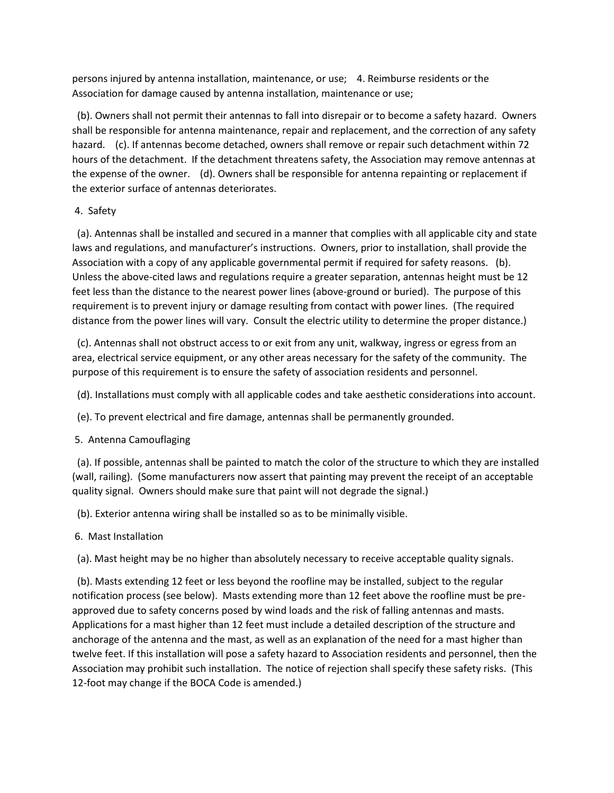persons injured by antenna installation, maintenance, or use; 4. Reimburse residents or the Association for damage caused by antenna installation, maintenance or use;

 (b). Owners shall not permit their antennas to fall into disrepair or to become a safety hazard. Owners shall be responsible for antenna maintenance, repair and replacement, and the correction of any safety hazard. (c). If antennas become detached, owners shall remove or repair such detachment within 72 hours of the detachment. If the detachment threatens safety, the Association may remove antennas at the expense of the owner. (d). Owners shall be responsible for antenna repainting or replacement if the exterior surface of antennas deteriorates.

# 4. Safety

 (a). Antennas shall be installed and secured in a manner that complies with all applicable city and state laws and regulations, and manufacturer's instructions. Owners, prior to installation, shall provide the Association with a copy of any applicable governmental permit if required for safety reasons. (b). Unless the above-cited laws and regulations require a greater separation, antennas height must be 12 feet less than the distance to the nearest power lines (above-ground or buried). The purpose of this requirement is to prevent injury or damage resulting from contact with power lines. (The required distance from the power lines will vary. Consult the electric utility to determine the proper distance.)

 (c). Antennas shall not obstruct access to or exit from any unit, walkway, ingress or egress from an area, electrical service equipment, or any other areas necessary for the safety of the community. The purpose of this requirement is to ensure the safety of association residents and personnel.

(d). Installations must comply with all applicable codes and take aesthetic considerations into account.

(e). To prevent electrical and fire damage, antennas shall be permanently grounded.

# 5. Antenna Camouflaging

 (a). If possible, antennas shall be painted to match the color of the structure to which they are installed (wall, railing). (Some manufacturers now assert that painting may prevent the receipt of an acceptable quality signal. Owners should make sure that paint will not degrade the signal.)

(b). Exterior antenna wiring shall be installed so as to be minimally visible.

# 6. Mast Installation

(a). Mast height may be no higher than absolutely necessary to receive acceptable quality signals.

 (b). Masts extending 12 feet or less beyond the roofline may be installed, subject to the regular notification process (see below). Masts extending more than 12 feet above the roofline must be preapproved due to safety concerns posed by wind loads and the risk of falling antennas and masts. Applications for a mast higher than 12 feet must include a detailed description of the structure and anchorage of the antenna and the mast, as well as an explanation of the need for a mast higher than twelve feet. If this installation will pose a safety hazard to Association residents and personnel, then the Association may prohibit such installation. The notice of rejection shall specify these safety risks. (This 12-foot may change if the BOCA Code is amended.)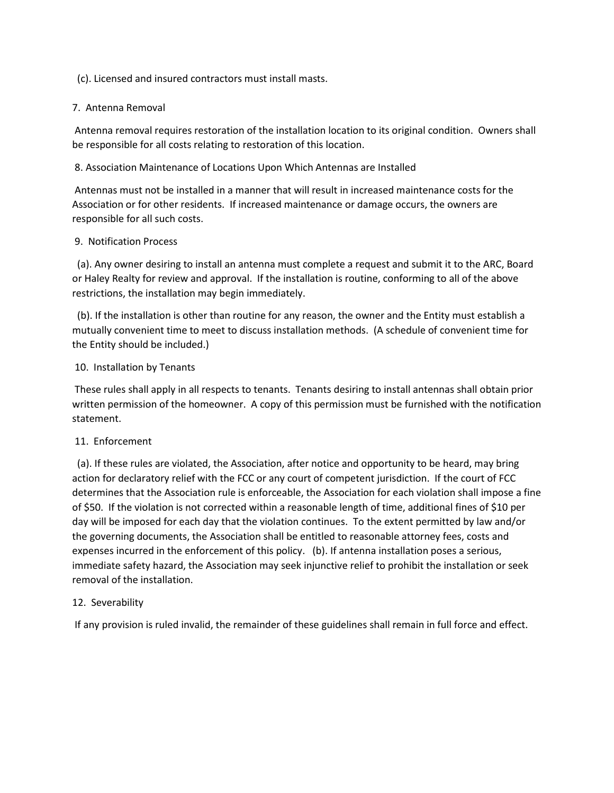### (c). Licensed and insured contractors must install masts.

### 7. Antenna Removal

Antenna removal requires restoration of the installation location to its original condition. Owners shall be responsible for all costs relating to restoration of this location.

# 8. Association Maintenance of Locations Upon Which Antennas are Installed

Antennas must not be installed in a manner that will result in increased maintenance costs for the Association or for other residents. If increased maintenance or damage occurs, the owners are responsible for all such costs.

### 9. Notification Process

 (a). Any owner desiring to install an antenna must complete a request and submit it to the ARC, Board or Haley Realty for review and approval. If the installation is routine, conforming to all of the above restrictions, the installation may begin immediately.

 (b). If the installation is other than routine for any reason, the owner and the Entity must establish a mutually convenient time to meet to discuss installation methods. (A schedule of convenient time for the Entity should be included.)

# 10. Installation by Tenants

These rules shall apply in all respects to tenants. Tenants desiring to install antennas shall obtain prior written permission of the homeowner. A copy of this permission must be furnished with the notification statement.

### 11. Enforcement

 (a). If these rules are violated, the Association, after notice and opportunity to be heard, may bring action for declaratory relief with the FCC or any court of competent jurisdiction. If the court of FCC determines that the Association rule is enforceable, the Association for each violation shall impose a fine of \$50. If the violation is not corrected within a reasonable length of time, additional fines of \$10 per day will be imposed for each day that the violation continues. To the extent permitted by law and/or the governing documents, the Association shall be entitled to reasonable attorney fees, costs and expenses incurred in the enforcement of this policy. (b). If antenna installation poses a serious, immediate safety hazard, the Association may seek injunctive relief to prohibit the installation or seek removal of the installation.

# 12. Severability

If any provision is ruled invalid, the remainder of these guidelines shall remain in full force and effect.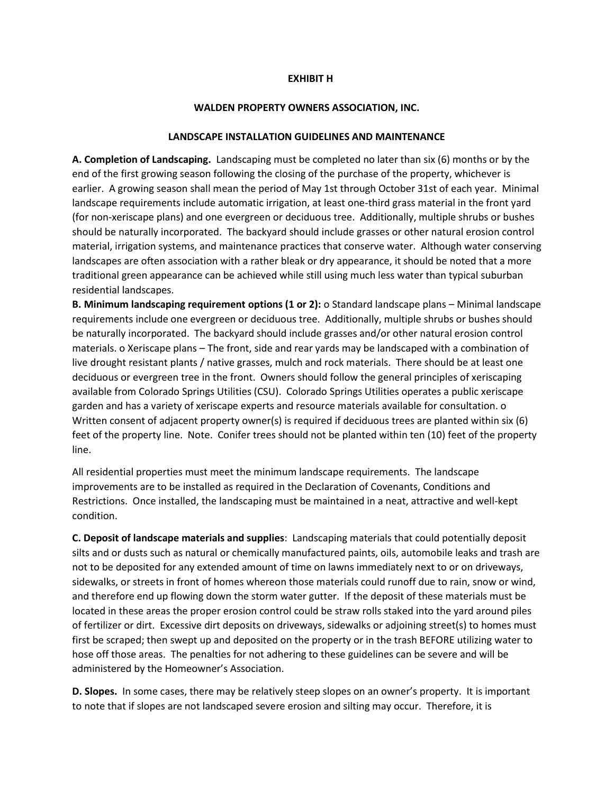#### **EXHIBIT H**

#### **WALDEN PROPERTY OWNERS ASSOCIATION, INC.**

#### **LANDSCAPE INSTALLATION GUIDELINES AND MAINTENANCE**

**A. Completion of Landscaping.** Landscaping must be completed no later than six (6) months or by the end of the first growing season following the closing of the purchase of the property, whichever is earlier. A growing season shall mean the period of May 1st through October 31st of each year. Minimal landscape requirements include automatic irrigation, at least one-third grass material in the front yard (for non-xeriscape plans) and one evergreen or deciduous tree. Additionally, multiple shrubs or bushes should be naturally incorporated. The backyard should include grasses or other natural erosion control material, irrigation systems, and maintenance practices that conserve water. Although water conserving landscapes are often association with a rather bleak or dry appearance, it should be noted that a more traditional green appearance can be achieved while still using much less water than typical suburban residential landscapes.

**B. Minimum landscaping requirement options (1 or 2):** o Standard landscape plans – Minimal landscape requirements include one evergreen or deciduous tree. Additionally, multiple shrubs or bushes should be naturally incorporated. The backyard should include grasses and/or other natural erosion control materials. o Xeriscape plans – The front, side and rear yards may be landscaped with a combination of live drought resistant plants / native grasses, mulch and rock materials. There should be at least one deciduous or evergreen tree in the front. Owners should follow the general principles of xeriscaping available from Colorado Springs Utilities (CSU). Colorado Springs Utilities operates a public xeriscape garden and has a variety of xeriscape experts and resource materials available for consultation. o Written consent of adjacent property owner(s) is required if deciduous trees are planted within six (6) feet of the property line. Note. Conifer trees should not be planted within ten (10) feet of the property line.

All residential properties must meet the minimum landscape requirements. The landscape improvements are to be installed as required in the Declaration of Covenants, Conditions and Restrictions. Once installed, the landscaping must be maintained in a neat, attractive and well-kept condition.

**C. Deposit of landscape materials and supplies**: Landscaping materials that could potentially deposit silts and or dusts such as natural or chemically manufactured paints, oils, automobile leaks and trash are not to be deposited for any extended amount of time on lawns immediately next to or on driveways, sidewalks, or streets in front of homes whereon those materials could runoff due to rain, snow or wind, and therefore end up flowing down the storm water gutter. If the deposit of these materials must be located in these areas the proper erosion control could be straw rolls staked into the yard around piles of fertilizer or dirt. Excessive dirt deposits on driveways, sidewalks or adjoining street(s) to homes must first be scraped; then swept up and deposited on the property or in the trash BEFORE utilizing water to hose off those areas. The penalties for not adhering to these guidelines can be severe and will be administered by the Homeowner's Association.

**D. Slopes.** In some cases, there may be relatively steep slopes on an owner's property. It is important to note that if slopes are not landscaped severe erosion and silting may occur. Therefore, it is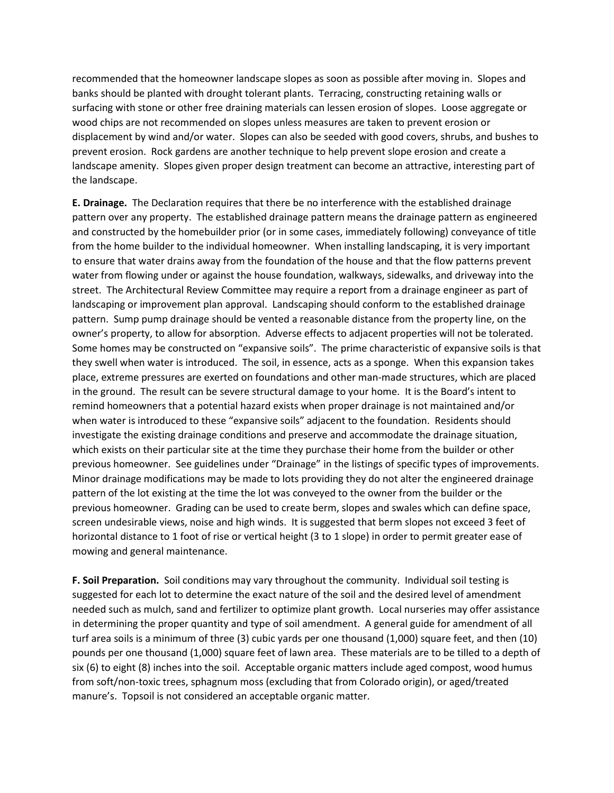recommended that the homeowner landscape slopes as soon as possible after moving in. Slopes and banks should be planted with drought tolerant plants. Terracing, constructing retaining walls or surfacing with stone or other free draining materials can lessen erosion of slopes. Loose aggregate or wood chips are not recommended on slopes unless measures are taken to prevent erosion or displacement by wind and/or water. Slopes can also be seeded with good covers, shrubs, and bushes to prevent erosion. Rock gardens are another technique to help prevent slope erosion and create a landscape amenity. Slopes given proper design treatment can become an attractive, interesting part of the landscape.

**E. Drainage.** The Declaration requires that there be no interference with the established drainage pattern over any property. The established drainage pattern means the drainage pattern as engineered and constructed by the homebuilder prior (or in some cases, immediately following) conveyance of title from the home builder to the individual homeowner. When installing landscaping, it is very important to ensure that water drains away from the foundation of the house and that the flow patterns prevent water from flowing under or against the house foundation, walkways, sidewalks, and driveway into the street. The Architectural Review Committee may require a report from a drainage engineer as part of landscaping or improvement plan approval. Landscaping should conform to the established drainage pattern. Sump pump drainage should be vented a reasonable distance from the property line, on the owner's property, to allow for absorption. Adverse effects to adjacent properties will not be tolerated. Some homes may be constructed on "expansive soils". The prime characteristic of expansive soils is that they swell when water is introduced. The soil, in essence, acts as a sponge. When this expansion takes place, extreme pressures are exerted on foundations and other man-made structures, which are placed in the ground. The result can be severe structural damage to your home. It is the Board's intent to remind homeowners that a potential hazard exists when proper drainage is not maintained and/or when water is introduced to these "expansive soils" adjacent to the foundation. Residents should investigate the existing drainage conditions and preserve and accommodate the drainage situation, which exists on their particular site at the time they purchase their home from the builder or other previous homeowner. See guidelines under "Drainage" in the listings of specific types of improvements. Minor drainage modifications may be made to lots providing they do not alter the engineered drainage pattern of the lot existing at the time the lot was conveyed to the owner from the builder or the previous homeowner. Grading can be used to create berm, slopes and swales which can define space, screen undesirable views, noise and high winds. It is suggested that berm slopes not exceed 3 feet of horizontal distance to 1 foot of rise or vertical height (3 to 1 slope) in order to permit greater ease of mowing and general maintenance.

**F. Soil Preparation.** Soil conditions may vary throughout the community. Individual soil testing is suggested for each lot to determine the exact nature of the soil and the desired level of amendment needed such as mulch, sand and fertilizer to optimize plant growth. Local nurseries may offer assistance in determining the proper quantity and type of soil amendment. A general guide for amendment of all turf area soils is a minimum of three (3) cubic yards per one thousand (1,000) square feet, and then (10) pounds per one thousand (1,000) square feet of lawn area. These materials are to be tilled to a depth of six (6) to eight (8) inches into the soil. Acceptable organic matters include aged compost, wood humus from soft/non-toxic trees, sphagnum moss (excluding that from Colorado origin), or aged/treated manure's. Topsoil is not considered an acceptable organic matter.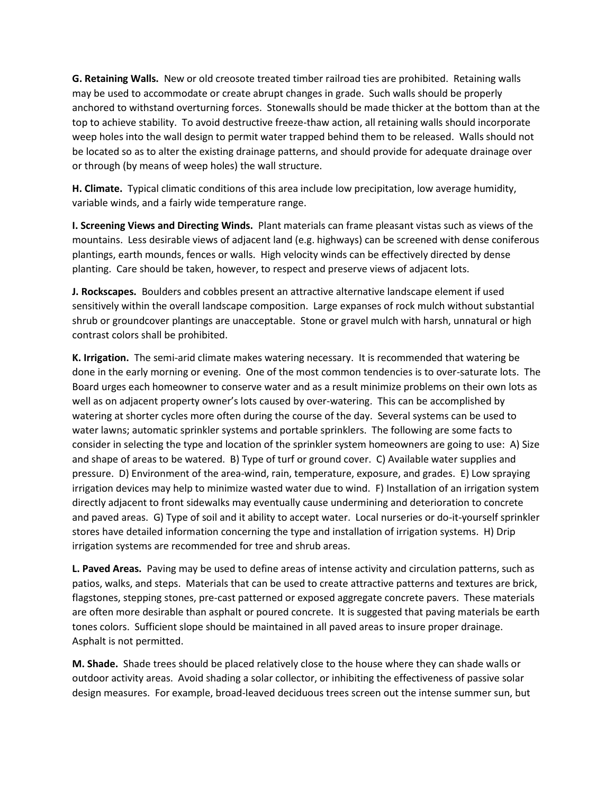**G. Retaining Walls.** New or old creosote treated timber railroad ties are prohibited. Retaining walls may be used to accommodate or create abrupt changes in grade. Such walls should be properly anchored to withstand overturning forces. Stonewalls should be made thicker at the bottom than at the top to achieve stability. To avoid destructive freeze-thaw action, all retaining walls should incorporate weep holes into the wall design to permit water trapped behind them to be released. Walls should not be located so as to alter the existing drainage patterns, and should provide for adequate drainage over or through (by means of weep holes) the wall structure.

**H. Climate.** Typical climatic conditions of this area include low precipitation, low average humidity, variable winds, and a fairly wide temperature range.

**I. Screening Views and Directing Winds.** Plant materials can frame pleasant vistas such as views of the mountains. Less desirable views of adjacent land (e.g. highways) can be screened with dense coniferous plantings, earth mounds, fences or walls. High velocity winds can be effectively directed by dense planting. Care should be taken, however, to respect and preserve views of adjacent lots.

**J. Rockscapes.** Boulders and cobbles present an attractive alternative landscape element if used sensitively within the overall landscape composition. Large expanses of rock mulch without substantial shrub or groundcover plantings are unacceptable. Stone or gravel mulch with harsh, unnatural or high contrast colors shall be prohibited.

**K. Irrigation.** The semi-arid climate makes watering necessary. It is recommended that watering be done in the early morning or evening. One of the most common tendencies is to over-saturate lots. The Board urges each homeowner to conserve water and as a result minimize problems on their own lots as well as on adjacent property owner's lots caused by over-watering. This can be accomplished by watering at shorter cycles more often during the course of the day. Several systems can be used to water lawns; automatic sprinkler systems and portable sprinklers. The following are some facts to consider in selecting the type and location of the sprinkler system homeowners are going to use: A) Size and shape of areas to be watered. B) Type of turf or ground cover. C) Available water supplies and pressure. D) Environment of the area-wind, rain, temperature, exposure, and grades. E) Low spraying irrigation devices may help to minimize wasted water due to wind. F) Installation of an irrigation system directly adjacent to front sidewalks may eventually cause undermining and deterioration to concrete and paved areas. G) Type of soil and it ability to accept water. Local nurseries or do-it-yourself sprinkler stores have detailed information concerning the type and installation of irrigation systems. H) Drip irrigation systems are recommended for tree and shrub areas.

**L. Paved Areas.** Paving may be used to define areas of intense activity and circulation patterns, such as patios, walks, and steps. Materials that can be used to create attractive patterns and textures are brick, flagstones, stepping stones, pre-cast patterned or exposed aggregate concrete pavers. These materials are often more desirable than asphalt or poured concrete. It is suggested that paving materials be earth tones colors. Sufficient slope should be maintained in all paved areas to insure proper drainage. Asphalt is not permitted.

**M. Shade.** Shade trees should be placed relatively close to the house where they can shade walls or outdoor activity areas. Avoid shading a solar collector, or inhibiting the effectiveness of passive solar design measures. For example, broad-leaved deciduous trees screen out the intense summer sun, but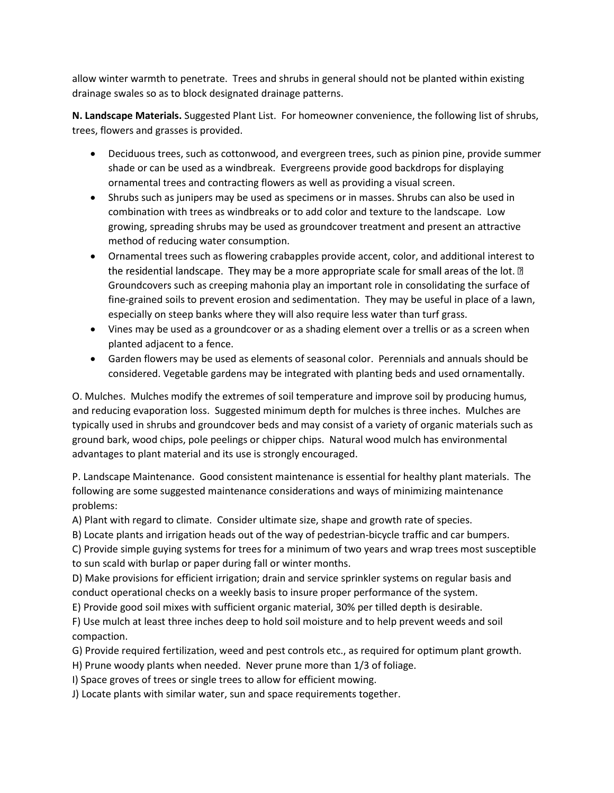allow winter warmth to penetrate. Trees and shrubs in general should not be planted within existing drainage swales so as to block designated drainage patterns.

**N. Landscape Materials.** Suggested Plant List. For homeowner convenience, the following list of shrubs, trees, flowers and grasses is provided.

- Deciduous trees, such as cottonwood, and evergreen trees, such as pinion pine, provide summer shade or can be used as a windbreak. Evergreens provide good backdrops for displaying ornamental trees and contracting flowers as well as providing a visual screen.
- Shrubs such as junipers may be used as specimens or in masses. Shrubs can also be used in combination with trees as windbreaks or to add color and texture to the landscape. Low growing, spreading shrubs may be used as groundcover treatment and present an attractive method of reducing water consumption.
- Ornamental trees such as flowering crabapples provide accent, color, and additional interest to the residential landscape. They may be a more appropriate scale for small areas of the lot.  $\mathbb D$ Groundcovers such as creeping mahonia play an important role in consolidating the surface of fine-grained soils to prevent erosion and sedimentation. They may be useful in place of a lawn, especially on steep banks where they will also require less water than turf grass.
- Vines may be used as a groundcover or as a shading element over a trellis or as a screen when planted adjacent to a fence.
- Garden flowers may be used as elements of seasonal color. Perennials and annuals should be considered. Vegetable gardens may be integrated with planting beds and used ornamentally.

O. Mulches. Mulches modify the extremes of soil temperature and improve soil by producing humus, and reducing evaporation loss. Suggested minimum depth for mulches is three inches. Mulches are typically used in shrubs and groundcover beds and may consist of a variety of organic materials such as ground bark, wood chips, pole peelings or chipper chips. Natural wood mulch has environmental advantages to plant material and its use is strongly encouraged.

P. Landscape Maintenance. Good consistent maintenance is essential for healthy plant materials. The following are some suggested maintenance considerations and ways of minimizing maintenance problems:

A) Plant with regard to climate. Consider ultimate size, shape and growth rate of species.

B) Locate plants and irrigation heads out of the way of pedestrian-bicycle traffic and car bumpers.

C) Provide simple guying systems for trees for a minimum of two years and wrap trees most susceptible to sun scald with burlap or paper during fall or winter months.

D) Make provisions for efficient irrigation; drain and service sprinkler systems on regular basis and conduct operational checks on a weekly basis to insure proper performance of the system.

E) Provide good soil mixes with sufficient organic material, 30% per tilled depth is desirable.

F) Use mulch at least three inches deep to hold soil moisture and to help prevent weeds and soil compaction.

G) Provide required fertilization, weed and pest controls etc., as required for optimum plant growth.

H) Prune woody plants when needed. Never prune more than 1/3 of foliage.

I) Space groves of trees or single trees to allow for efficient mowing.

J) Locate plants with similar water, sun and space requirements together.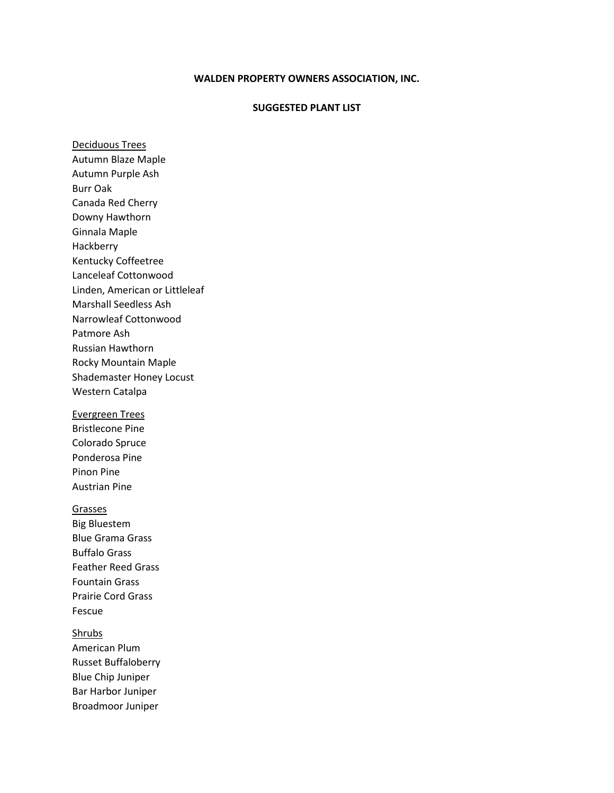#### **SUGGESTED PLANT LIST**

Deciduous Trees Autumn Blaze Maple Autumn Purple Ash Burr Oak Canada Red Cherry Downy Hawthorn Ginnala Maple Hackberry Kentucky Coffeetree Lanceleaf Cottonwood Linden, American or Littleleaf Marshall Seedless Ash Narrowleaf Cottonwood Patmore Ash Russian Hawthorn Rocky Mountain Maple Shademaster Honey Locust Western Catalpa Evergreen Trees

Bristlecone Pine Colorado Spruce Ponderosa Pine Pinon Pine Austrian Pine

Grasses Big Bluestem Blue Grama Grass Buffalo Grass Feather Reed Grass Fountain Grass Prairie Cord Grass Fescue

**Shrubs** American Plum Russet Buffaloberry Blue Chip Juniper Bar Harbor Juniper Broadmoor Juniper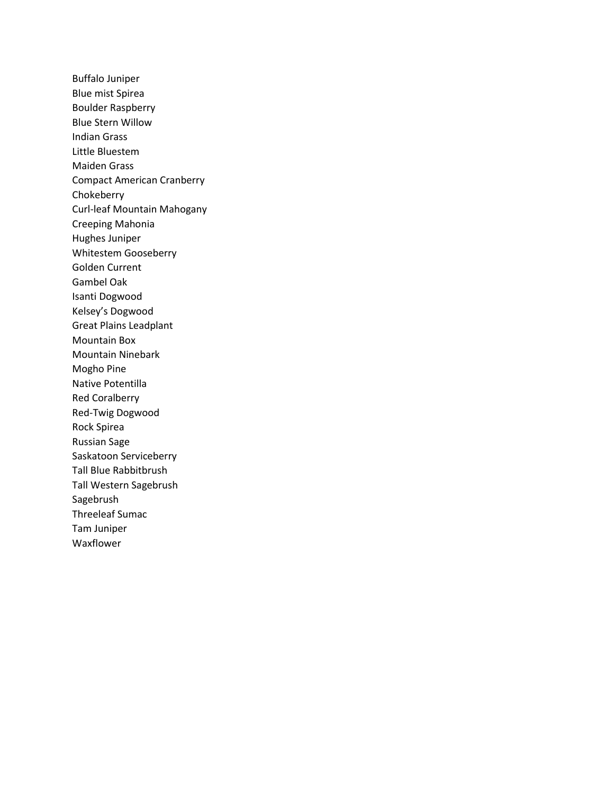Buffalo Juniper Blue mist Spirea Boulder Raspberry Blue Stern Willow Indian Grass Little Bluestem Maiden Grass Compact American Cranberry Chokeberry Curl-leaf Mountain Mahogany Creeping Mahonia Hughes Juniper Whitestem Gooseberry Golden Current Gambel Oak Isanti Dogwood Kelsey's Dogwood Great Plains Leadplant Mountain Box Mountain Ninebark Mogho Pine Native Potentilla Red Coralberry Red-Twig Dogwood Rock Spirea Russian Sage Saskatoon Serviceberry Tall Blue Rabbitbrush Tall Western Sagebrush Sagebrush Threeleaf Sumac Tam Juniper Waxflower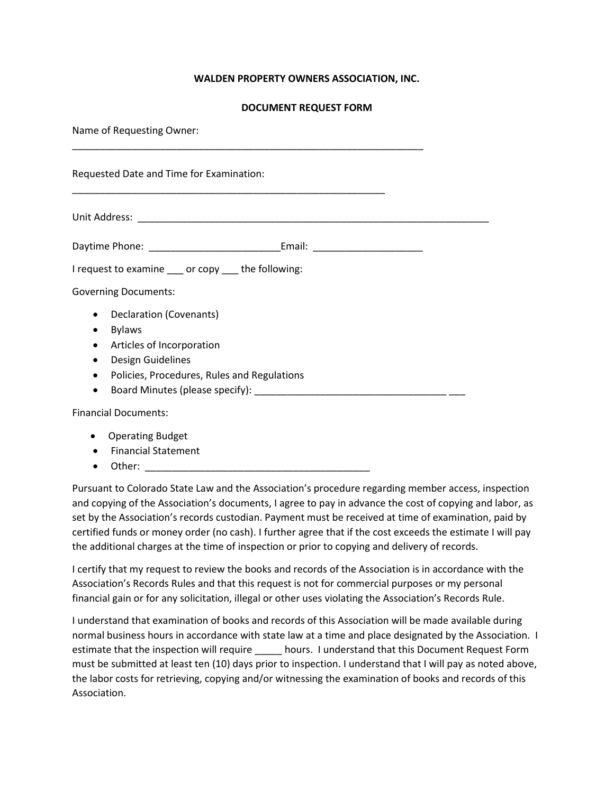### **DOCUMENT REQUEST FORM**

Name of Requesting Owner:

Requested Date and Time for Examination:

Unit Address: \_\_\_\_\_\_\_\_\_\_\_\_\_\_\_\_\_\_\_\_\_\_\_\_\_\_\_\_\_\_\_\_\_\_\_\_\_\_\_\_\_\_\_\_\_\_\_\_\_\_\_\_\_\_\_\_\_\_\_\_\_\_\_\_

| Daytime Phone: | Email: |  |
|----------------|--------|--|
|                |        |  |

\_\_\_\_\_\_\_\_\_\_\_\_\_\_\_\_\_\_\_\_\_\_\_\_\_\_\_\_\_\_\_\_\_\_\_\_\_\_\_\_\_\_\_\_\_\_\_\_\_\_\_\_\_\_\_\_\_\_\_\_\_\_\_\_

\_\_\_\_\_\_\_\_\_\_\_\_\_\_\_\_\_\_\_\_\_\_\_\_\_\_\_\_\_\_\_\_\_\_\_\_\_\_\_\_\_\_\_\_\_\_\_\_\_\_\_\_\_\_\_\_\_

I request to examine \_\_\_ or copy \_\_\_ the following:

Governing Documents:

- Declaration (Covenants)
- Bylaws
- Articles of Incorporation
- Design Guidelines
- Policies, Procedures, Rules and Regulations
- Board Minutes (please specify):

Financial Documents:

- Operating Budget
- Financial Statement
- Other: \_\_\_\_\_\_\_\_\_\_\_\_\_\_\_\_\_\_\_\_\_\_\_\_\_\_\_\_\_\_\_\_\_\_\_\_\_\_\_\_\_

Pursuant to Colorado State Law and the Association's procedure regarding member access, inspection and copying of the Association's documents, I agree to pay in advance the cost of copying and labor, as set by the Association's records custodian. Payment must be received at time of examination, paid by certified funds or money order (no cash). I further agree that if the cost exceeds the estimate I will pay the additional charges at the time of inspection or prior to copying and delivery of records.

I certify that my request to review the books and records of the Association is in accordance with the Association's Records Rules and that this request is not for commercial purposes or my personal financial gain or for any solicitation, illegal or other uses violating the Association's Records Rule.

I understand that examination of books and records of this Association will be made available during normal business hours in accordance with state law at a time and place designated by the Association. I estimate that the inspection will require \_\_\_\_\_\_ hours. I understand that this Document Request Form must be submitted at least ten (10) days prior to inspection. I understand that I will pay as noted above, the labor costs for retrieving, copying and/or witnessing the examination of books and records of this Association.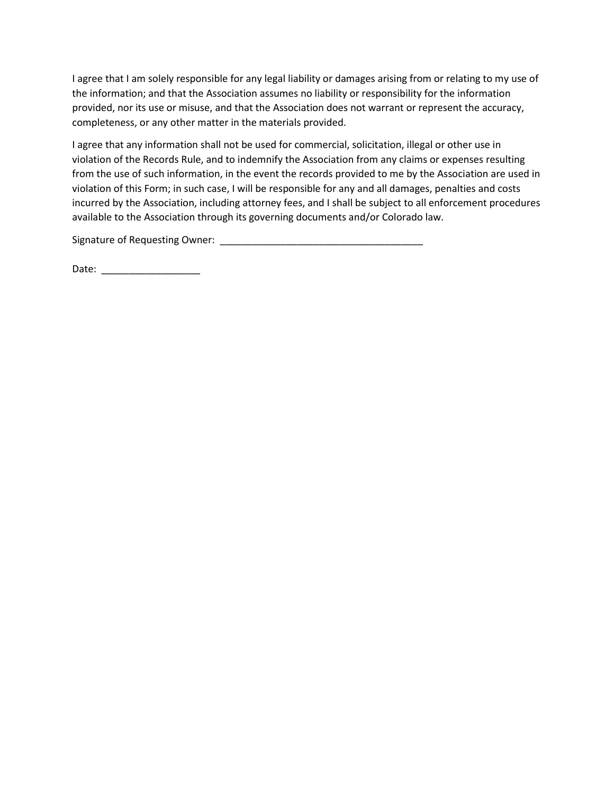I agree that I am solely responsible for any legal liability or damages arising from or relating to my use of the information; and that the Association assumes no liability or responsibility for the information provided, nor its use or misuse, and that the Association does not warrant or represent the accuracy, completeness, or any other matter in the materials provided.

I agree that any information shall not be used for commercial, solicitation, illegal or other use in violation of the Records Rule, and to indemnify the Association from any claims or expenses resulting from the use of such information, in the event the records provided to me by the Association are used in violation of this Form; in such case, I will be responsible for any and all damages, penalties and costs incurred by the Association, including attorney fees, and I shall be subject to all enforcement procedures available to the Association through its governing documents and/or Colorado law.

Signature of Requesting Owner: \_\_\_\_\_\_\_\_\_\_\_\_\_\_\_\_\_\_\_\_\_\_\_\_\_\_\_\_\_\_\_\_\_\_\_\_\_

Date: \_\_\_\_\_\_\_\_\_\_\_\_\_\_\_\_\_\_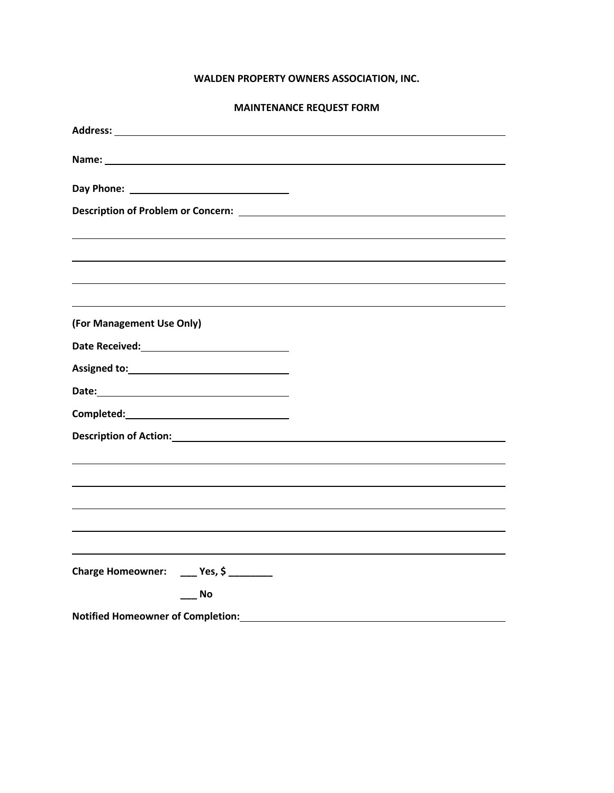# **MAINTENANCE REQUEST FORM**

| Description of Problem or Concern: New York Concerned Art 2014         |
|------------------------------------------------------------------------|
|                                                                        |
|                                                                        |
|                                                                        |
|                                                                        |
| (For Management Use Only)                                              |
| Date Received: Management Control of the Received:                     |
|                                                                        |
|                                                                        |
| Completed: National Completed:                                         |
|                                                                        |
|                                                                        |
|                                                                        |
|                                                                        |
|                                                                        |
|                                                                        |
| Charge Homeowner: ____ Yes, \$ _______                                 |
| <b>No</b>                                                              |
|                                                                        |
| Notified Homeowner of Completion:<br>Motified Homeowner of Completion: |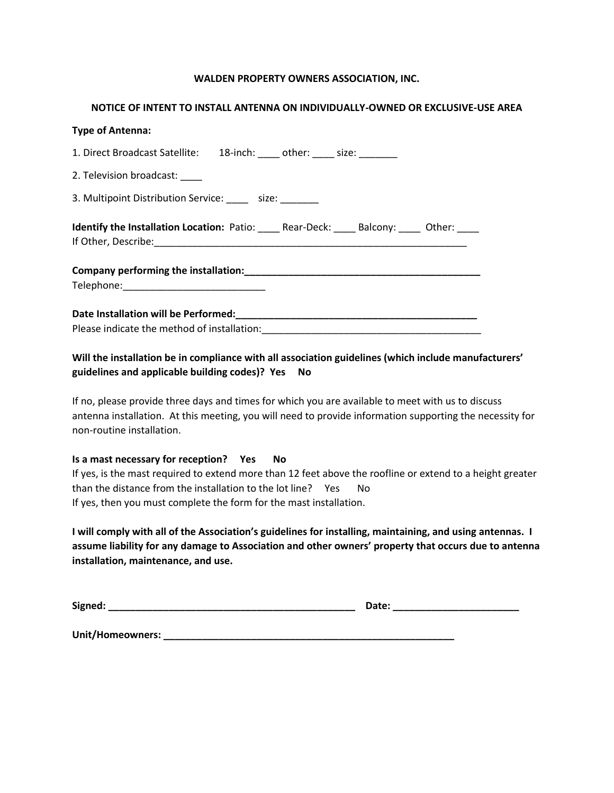#### **NOTICE OF INTENT TO INSTALL ANTENNA ON INDIVIDUALLY-OWNED OR EXCLUSIVE-USE AREA**

| <b>Type of Antenna:</b>                                                      |
|------------------------------------------------------------------------------|
| 1. Direct Broadcast Satellite: 18-inch: ____ other: ____ size: ______        |
| 2. Television broadcast:                                                     |
| 3. Multipoint Distribution Service: ______ size: _______                     |
| <b>Identify the Installation Location:</b> Patio: Rear-Deck: Balcony: Other: |
|                                                                              |
|                                                                              |
| Telephone:________________________________                                   |
|                                                                              |
|                                                                              |
|                                                                              |

# **Will the installation be in compliance with all association guidelines (which include manufacturers' guidelines and applicable building codes)? Yes No**

If no, please provide three days and times for which you are available to meet with us to discuss antenna installation. At this meeting, you will need to provide information supporting the necessity for non-routine installation.

#### **Is a mast necessary for reception? Yes No**

If yes, is the mast required to extend more than 12 feet above the roofline or extend to a height greater than the distance from the installation to the lot line? Yes No If yes, then you must complete the form for the mast installation.

**I will comply with all of the Association's guidelines for installing, maintaining, and using antennas. I assume liability for any damage to Association and other owners' property that occurs due to antenna installation, maintenance, and use.** 

| Signed:          | Date: |
|------------------|-------|
|                  |       |
| Unit/Homeowners: |       |